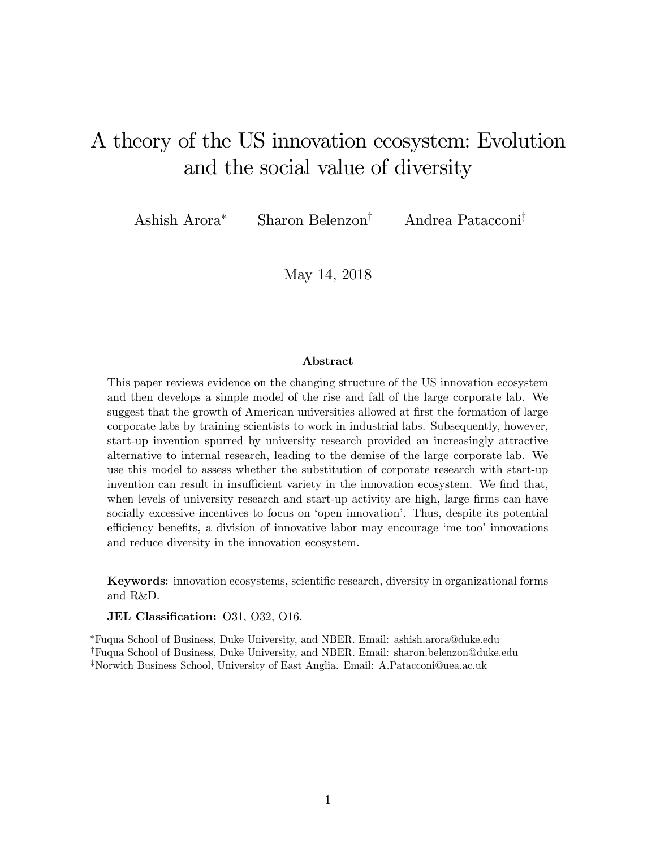# A theory of the US innovation ecosystem: Evolution and the social value of diversity

Ashish Arora<sup>\*</sup> Sharon Belenzon<sup>†</sup> Andrea Patacconi<sup>‡</sup>

May 14, 2018

#### Abstract

This paper reviews evidence on the changing structure of the US innovation ecosystem and then develops a simple model of the rise and fall of the large corporate lab. We suggest that the growth of American universities allowed at first the formation of large corporate labs by training scientists to work in industrial labs. Subsequently, however, start-up invention spurred by university research provided an increasingly attractive alternative to internal research, leading to the demise of the large corporate lab. We use this model to assess whether the substitution of corporate research with start-up invention can result in insufficient variety in the innovation ecosystem. We find that, when levels of university research and start-up activity are high, large firms can have socially excessive incentives to focus on 'open innovation'. Thus, despite its potential efficiency benefits, a division of innovative labor may encourage 'me too' innovations and reduce diversity in the innovation ecosystem.

Keywords: innovation ecosystems, scientific research, diversity in organizational forms and R&D.

JEL Classification: 031, 032, 016.

Fuqua School of Business, Duke University, and NBER. Email: ashish.arora@duke.edu

<sup>&</sup>lt;sup>†</sup>Fuqua School of Business, Duke University, and NBER. Email: sharon.belenzon@duke.edu

<sup>&</sup>lt;sup>‡</sup>Norwich Business School, University of East Anglia. Email: A.Patacconi@uea.ac.uk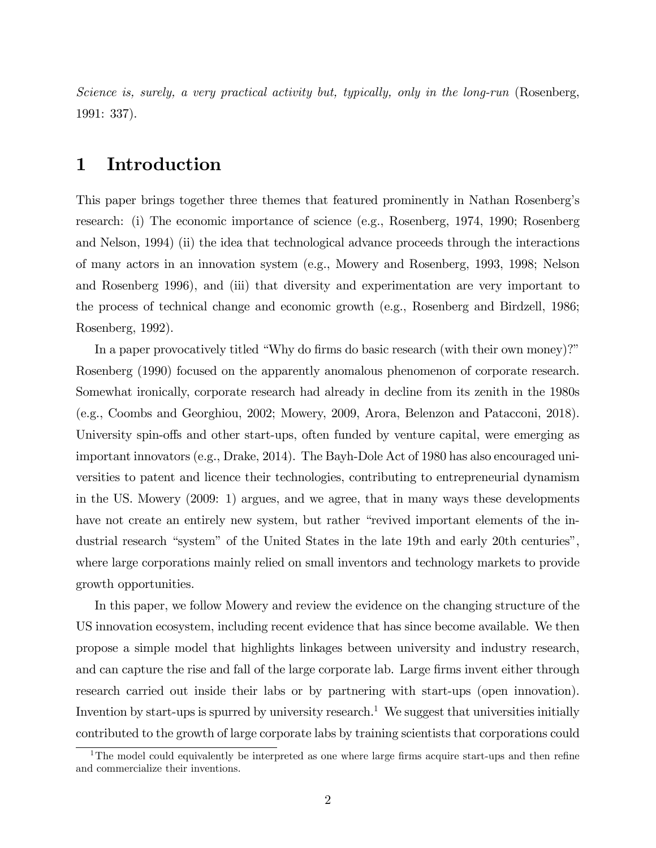Science is, surely, a very practical activity but, typically, only in the long-run (Rosenberg, 1991: 337).

### 1 Introduction

This paper brings together three themes that featured prominently in Nathan Rosenbergís research: (i) The economic importance of science (e.g., Rosenberg, 1974, 1990; Rosenberg and Nelson, 1994) (ii) the idea that technological advance proceeds through the interactions of many actors in an innovation system (e.g., Mowery and Rosenberg, 1993, 1998; Nelson and Rosenberg 1996), and (iii) that diversity and experimentation are very important to the process of technical change and economic growth (e.g., Rosenberg and Birdzell, 1986; Rosenberg, 1992).

In a paper provocatively titled "Why do firms do basic research (with their own money)?" Rosenberg (1990) focused on the apparently anomalous phenomenon of corporate research. Somewhat ironically, corporate research had already in decline from its zenith in the 1980s (e.g., Coombs and Georghiou, 2002; Mowery, 2009, Arora, Belenzon and Patacconi, 2018). University spin-offs and other start-ups, often funded by venture capital, were emerging as important innovators (e.g., Drake, 2014). The Bayh-Dole Act of 1980 has also encouraged universities to patent and licence their technologies, contributing to entrepreneurial dynamism in the US. Mowery (2009: 1) argues, and we agree, that in many ways these developments have not create an entirely new system, but rather "revived important elements of the industrial research "system" of the United States in the late 19th and early 20th centuries", where large corporations mainly relied on small inventors and technology markets to provide growth opportunities.

In this paper, we follow Mowery and review the evidence on the changing structure of the US innovation ecosystem, including recent evidence that has since become available. We then propose a simple model that highlights linkages between university and industry research, and can capture the rise and fall of the large corporate lab. Large firms invent either through research carried out inside their labs or by partnering with start-ups (open innovation). Invention by start-ups is spurred by university research.<sup>1</sup> We suggest that universities initially contributed to the growth of large corporate labs by training scientists that corporations could

<sup>&</sup>lt;sup>1</sup>The model could equivalently be interpreted as one where large firms acquire start-ups and then refine and commercialize their inventions.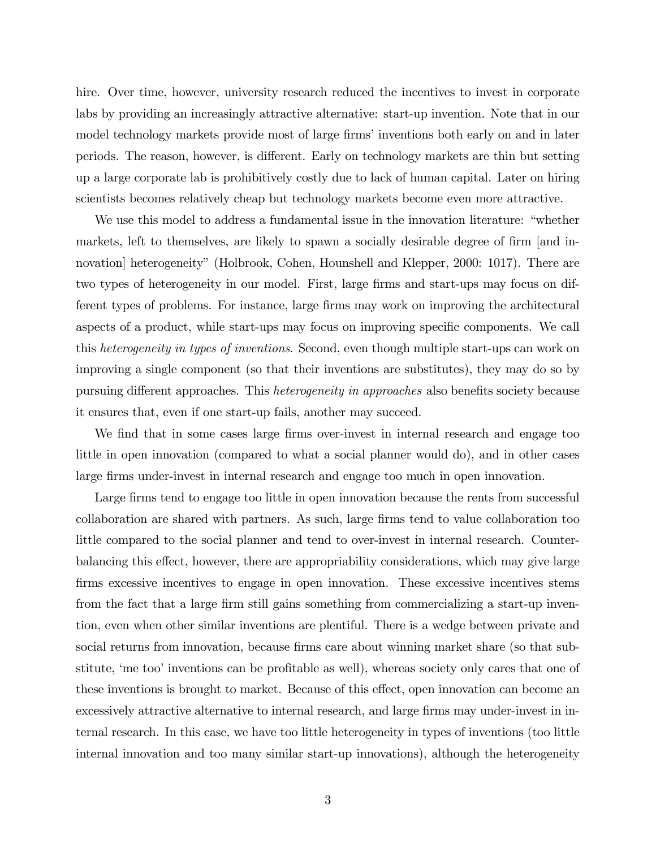hire. Over time, however, university research reduced the incentives to invest in corporate labs by providing an increasingly attractive alternative: start-up invention. Note that in our model technology markets provide most of large firms' inventions both early on and in later periods. The reason, however, is different. Early on technology markets are thin but setting up a large corporate lab is prohibitively costly due to lack of human capital. Later on hiring scientists becomes relatively cheap but technology markets become even more attractive.

We use this model to address a fundamental issue in the innovation literature: "whether markets, left to themselves, are likely to spawn a socially desirable degree of firm [and innovation] heterogeneity" (Holbrook, Cohen, Hounshell and Klepper, 2000: 1017). There are two types of heterogeneity in our model. First, large firms and start-ups may focus on different types of problems. For instance, large firms may work on improving the architectural aspects of a product, while start-ups may focus on improving specific components. We call this heterogeneity in types of inventions. Second, even though multiple start-ups can work on improving a single component (so that their inventions are substitutes), they may do so by pursuing different approaches. This *heterogeneity in approaches* also benefits society because it ensures that, even if one start-up fails, another may succeed.

We find that in some cases large firms over-invest in internal research and engage too little in open innovation (compared to what a social planner would do), and in other cases large firms under-invest in internal research and engage too much in open innovation.

Large firms tend to engage too little in open innovation because the rents from successful collaboration are shared with partners. As such, large firms tend to value collaboration too little compared to the social planner and tend to over-invest in internal research. Counterbalancing this effect, however, there are appropriability considerations, which may give large firms excessive incentives to engage in open innovation. These excessive incentives stems from the fact that a large firm still gains something from commercializing a start-up invention, even when other similar inventions are plentiful. There is a wedge between private and social returns from innovation, because firms care about winning market share (so that substitute, 'me too' inventions can be profitable as well), whereas society only cares that one of these inventions is brought to market. Because of this effect, open innovation can become an excessively attractive alternative to internal research, and large firms may under-invest in internal research. In this case, we have too little heterogeneity in types of inventions (too little internal innovation and too many similar start-up innovations), although the heterogeneity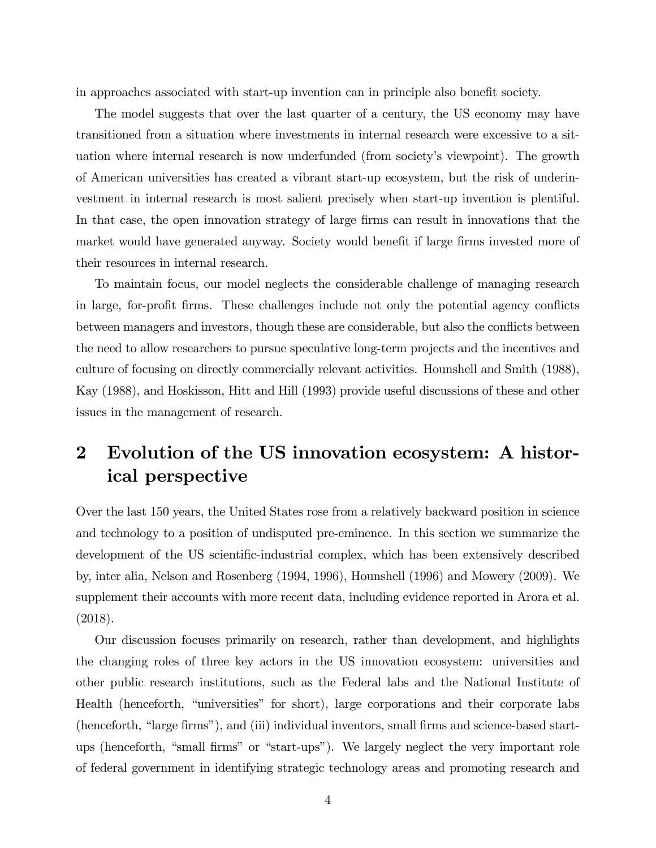in approaches associated with start-up invention can in principle also benefit society.

The model suggests that over the last quarter of a century, the US economy may have transitioned from a situation where investments in internal research were excessive to a situation where internal research is now underfunded (from society's viewpoint). The growth of American universities has created a vibrant start-up ecosystem, but the risk of underinvestment in internal research is most salient precisely when start-up invention is plentiful. In that case, the open innovation strategy of large firms can result in innovations that the market would have generated anyway. Society would benefit if large firms invested more of their resources in internal research.

To maintain focus, our model neglects the considerable challenge of managing research in large, for-profit firms. These challenges include not only the potential agency conflicts between managers and investors, though these are considerable, but also the conflicts between the need to allow researchers to pursue speculative long-term projects and the incentives and culture of focusing on directly commercially relevant activities. Hounshell and Smith (1988), Kay (1988), and Hoskisson, Hitt and Hill (1993) provide useful discussions of these and other issues in the management of research.

# 2 Evolution of the US innovation ecosystem: A historical perspective

Over the last 150 years, the United States rose from a relatively backward position in science and technology to a position of undisputed pre-eminence. In this section we summarize the development of the US scientific-industrial complex, which has been extensively described by, inter alia, Nelson and Rosenberg (1994, 1996), Hounshell (1996) and Mowery (2009). We supplement their accounts with more recent data, including evidence reported in Arora et al. (2018).

Our discussion focuses primarily on research, rather than development, and highlights the changing roles of three key actors in the US innovation ecosystem: universities and other public research institutions, such as the Federal labs and the National Institute of Health (henceforth, "universities" for short), large corporations and their corporate labs (henceforth, "large firms"), and (iii) individual inventors, small firms and science-based startups (henceforth, "small firms" or "start-ups"). We largely neglect the very important role of federal government in identifying strategic technology areas and promoting research and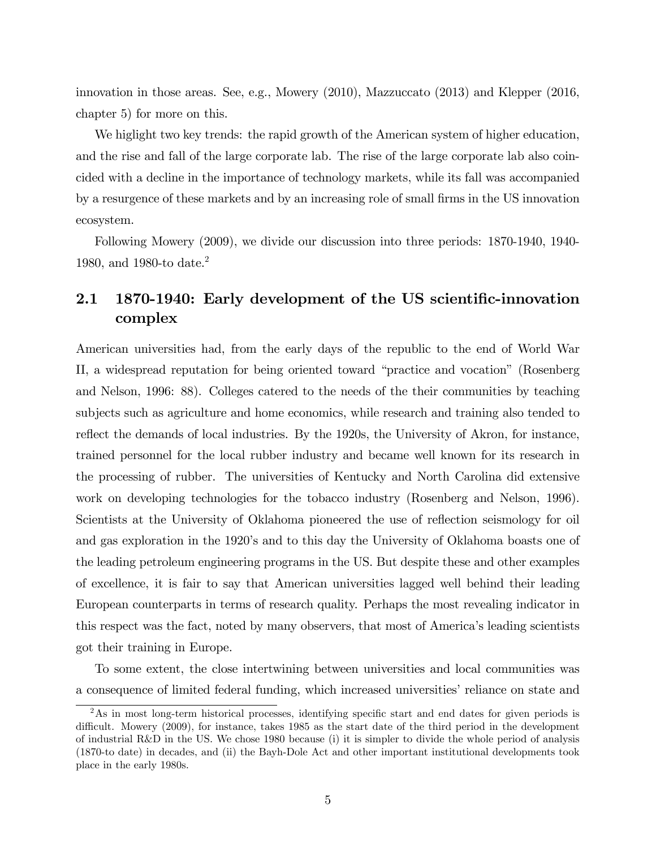innovation in those areas. See, e.g., Mowery (2010), Mazzuccato (2013) and Klepper (2016, chapter 5) for more on this.

We higlight two key trends: the rapid growth of the American system of higher education, and the rise and fall of the large corporate lab. The rise of the large corporate lab also coincided with a decline in the importance of technology markets, while its fall was accompanied by a resurgence of these markets and by an increasing role of small firms in the US innovation ecosystem.

Following Mowery (2009), we divide our discussion into three periods: 1870-1940, 1940- 1980, and 1980-to date.<sup>2</sup>

### 2.1 1870-1940: Early development of the US scientific-innovation complex

American universities had, from the early days of the republic to the end of World War II, a widespread reputation for being oriented toward "practice and vocation" (Rosenberg and Nelson, 1996: 88). Colleges catered to the needs of the their communities by teaching subjects such as agriculture and home economics, while research and training also tended to reflect the demands of local industries. By the 1920s, the University of Akron, for instance, trained personnel for the local rubber industry and became well known for its research in the processing of rubber. The universities of Kentucky and North Carolina did extensive work on developing technologies for the tobacco industry (Rosenberg and Nelson, 1996). Scientists at the University of Oklahoma pioneered the use of reflection seismology for oil and gas exploration in the 1920's and to this day the University of Oklahoma boasts one of the leading petroleum engineering programs in the US. But despite these and other examples of excellence, it is fair to say that American universities lagged well behind their leading European counterparts in terms of research quality. Perhaps the most revealing indicator in this respect was the fact, noted by many observers, that most of Americaís leading scientists got their training in Europe.

To some extent, the close intertwining between universities and local communities was a consequence of limited federal funding, which increased universities' reliance on state and

<sup>&</sup>lt;sup>2</sup>As in most long-term historical processes, identifying specific start and end dates for given periods is difficult. Mowery (2009), for instance, takes 1985 as the start date of the third period in the development of industrial R&D in the US. We chose 1980 because (i) it is simpler to divide the whole period of analysis (1870-to date) in decades, and (ii) the Bayh-Dole Act and other important institutional developments took place in the early 1980s.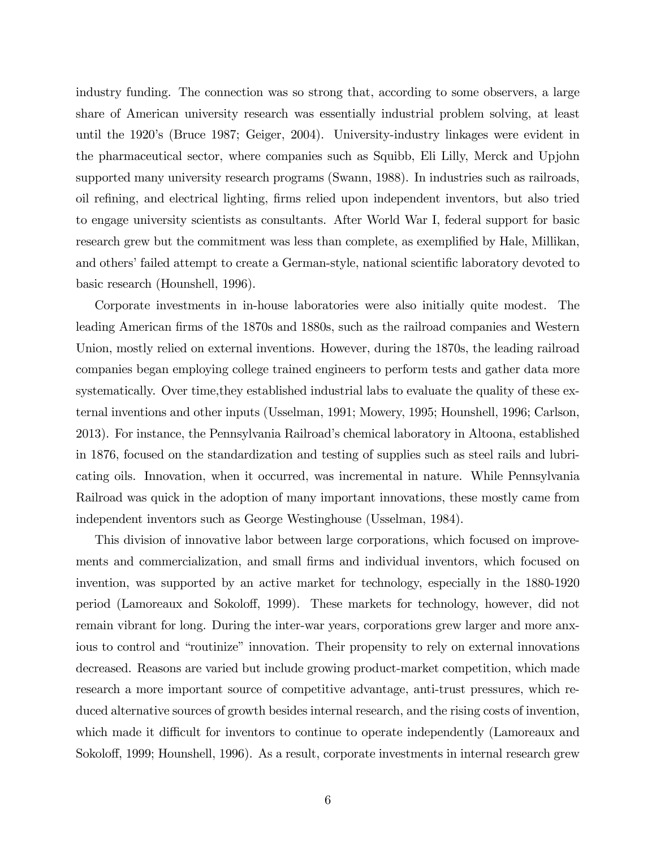industry funding. The connection was so strong that, according to some observers, a large share of American university research was essentially industrial problem solving, at least until the 1920's (Bruce 1987; Geiger, 2004). University-industry linkages were evident in the pharmaceutical sector, where companies such as Squibb, Eli Lilly, Merck and Upjohn supported many university research programs (Swann, 1988). In industries such as railroads, oil refining, and electrical lighting, firms relied upon independent inventors, but also tried to engage university scientists as consultants. After World War I, federal support for basic research grew but the commitment was less than complete, as exemplified by Hale, Millikan, and others' failed attempt to create a German-style, national scientific laboratory devoted to basic research (Hounshell, 1996).

Corporate investments in in-house laboratories were also initially quite modest. The leading American firms of the 1870s and 1880s, such as the railroad companies and Western Union, mostly relied on external inventions. However, during the 1870s, the leading railroad companies began employing college trained engineers to perform tests and gather data more systematically. Over time,they established industrial labs to evaluate the quality of these external inventions and other inputs (Usselman, 1991; Mowery, 1995; Hounshell, 1996; Carlson, 2013). For instance, the Pennsylvania Railroadís chemical laboratory in Altoona, established in 1876, focused on the standardization and testing of supplies such as steel rails and lubricating oils. Innovation, when it occurred, was incremental in nature. While Pennsylvania Railroad was quick in the adoption of many important innovations, these mostly came from independent inventors such as George Westinghouse (Usselman, 1984).

This division of innovative labor between large corporations, which focused on improvements and commercialization, and small Örms and individual inventors, which focused on invention, was supported by an active market for technology, especially in the 1880-1920 period (Lamoreaux and Sokolo§, 1999). These markets for technology, however, did not remain vibrant for long. During the inter-war years, corporations grew larger and more anxious to control and "routinize" innovation. Their propensity to rely on external innovations decreased. Reasons are varied but include growing product-market competition, which made research a more important source of competitive advantage, anti-trust pressures, which reduced alternative sources of growth besides internal research, and the rising costs of invention, which made it difficult for inventors to continue to operate independently (Lamoreaux and Sokoloff, 1999; Hounshell, 1996). As a result, corporate investments in internal research grew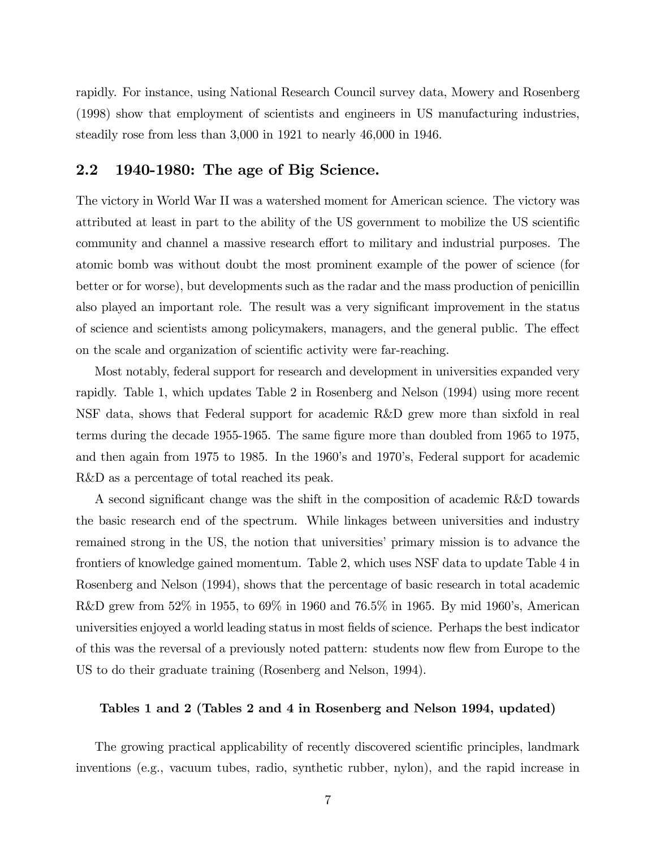rapidly. For instance, using National Research Council survey data, Mowery and Rosenberg (1998) show that employment of scientists and engineers in US manufacturing industries, steadily rose from less than 3,000 in 1921 to nearly 46,000 in 1946.

### 2.2 1940-1980: The age of Big Science.

The victory in World War II was a watershed moment for American science. The victory was attributed at least in part to the ability of the US government to mobilize the US scientific community and channel a massive research effort to military and industrial purposes. The atomic bomb was without doubt the most prominent example of the power of science (for better or for worse), but developments such as the radar and the mass production of penicillin also played an important role. The result was a very significant improvement in the status of science and scientists among policymakers, managers, and the general public. The effect on the scale and organization of scientific activity were far-reaching.

Most notably, federal support for research and development in universities expanded very rapidly. Table 1, which updates Table 2 in Rosenberg and Nelson (1994) using more recent NSF data, shows that Federal support for academic R&D grew more than sixfold in real terms during the decade 1955-1965. The same figure more than doubled from 1965 to 1975, and then again from 1975 to 1985. In the 1960's and 1970's, Federal support for academic R&D as a percentage of total reached its peak.

A second significant change was the shift in the composition of academic R&D towards the basic research end of the spectrum. While linkages between universities and industry remained strong in the US, the notion that universities' primary mission is to advance the frontiers of knowledge gained momentum. Table 2, which uses NSF data to update Table 4 in Rosenberg and Nelson (1994), shows that the percentage of basic research in total academic R&D grew from 52% in 1955, to 69% in 1960 and 76.5% in 1965. By mid 1960's, American universities enjoyed a world leading status in most Öelds of science. Perhaps the best indicator of this was the reversal of a previously noted pattern: students now áew from Europe to the US to do their graduate training (Rosenberg and Nelson, 1994).

### Tables 1 and 2 (Tables 2 and 4 in Rosenberg and Nelson 1994, updated)

The growing practical applicability of recently discovered scientific principles, landmark inventions (e.g., vacuum tubes, radio, synthetic rubber, nylon), and the rapid increase in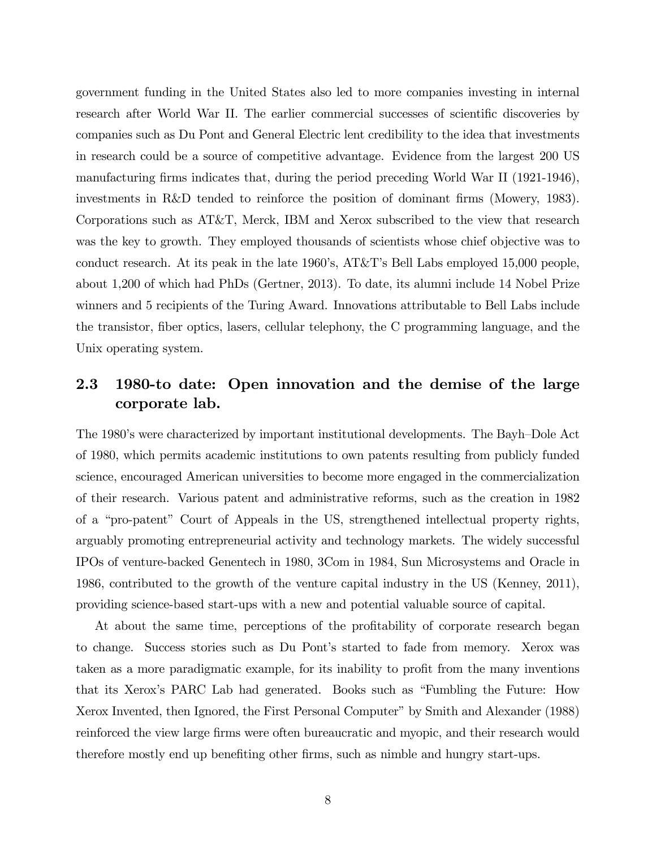government funding in the United States also led to more companies investing in internal research after World War II. The earlier commercial successes of scientific discoveries by companies such as Du Pont and General Electric lent credibility to the idea that investments in research could be a source of competitive advantage. Evidence from the largest 200 US manufacturing firms indicates that, during the period preceding World War II (1921-1946), investments in R&D tended to reinforce the position of dominant firms (Mowery, 1983). Corporations such as AT&T, Merck, IBM and Xerox subscribed to the view that research was the key to growth. They employed thousands of scientists whose chief objective was to conduct research. At its peak in the late 1960's,  $AT&T$ 's Bell Labs employed 15,000 people, about 1,200 of which had PhDs (Gertner, 2013). To date, its alumni include 14 Nobel Prize winners and 5 recipients of the Turing Award. Innovations attributable to Bell Labs include the transistor, fiber optics, lasers, cellular telephony, the C programming language, and the Unix operating system.

### 2.3 1980-to date: Open innovation and the demise of the large corporate lab.

The 1980's were characterized by important institutional developments. The Bayh–Dole Act of 1980, which permits academic institutions to own patents resulting from publicly funded science, encouraged American universities to become more engaged in the commercialization of their research. Various patent and administrative reforms, such as the creation in 1982 of a "pro-patent" Court of Appeals in the US, strengthened intellectual property rights, arguably promoting entrepreneurial activity and technology markets. The widely successful IPOs of venture-backed Genentech in 1980, 3Com in 1984, Sun Microsystems and Oracle in 1986, contributed to the growth of the venture capital industry in the US (Kenney, 2011), providing science-based start-ups with a new and potential valuable source of capital.

At about the same time, perceptions of the profitability of corporate research began to change. Success stories such as Du Pont's started to fade from memory. Xerox was taken as a more paradigmatic example, for its inability to profit from the many inventions that its Xerox's PARC Lab had generated. Books such as "Fumbling the Future: How Xerox Invented, then Ignored, the First Personal Computer" by Smith and Alexander (1988) reinforced the view large firms were often bureaucratic and myopic, and their research would therefore mostly end up benefiting other firms, such as nimble and hungry start-ups.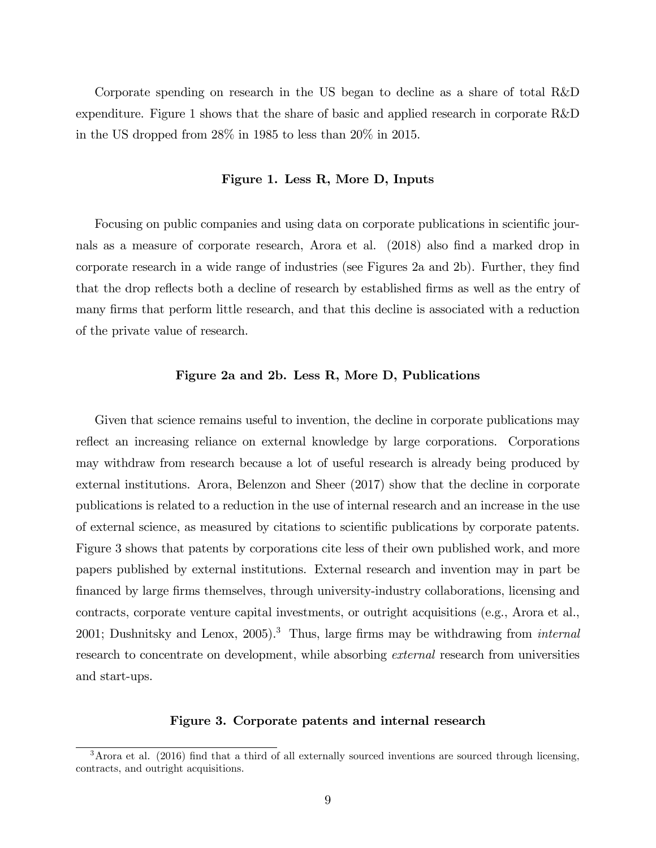Corporate spending on research in the US began to decline as a share of total R&D expenditure. Figure 1 shows that the share of basic and applied research in corporate R&D in the US dropped from 28% in 1985 to less than 20% in 2015.

### Figure 1. Less R, More D, Inputs

Focusing on public companies and using data on corporate publications in scientific journals as a measure of corporate research, Arora et al. (2018) also find a marked drop in corporate research in a wide range of industries (see Figures 2a and 2b). Further, they find that the drop reflects both a decline of research by established firms as well as the entry of many firms that perform little research, and that this decline is associated with a reduction of the private value of research.

#### Figure 2a and 2b. Less R, More D, Publications

Given that science remains useful to invention, the decline in corporate publications may reflect an increasing reliance on external knowledge by large corporations. Corporations may withdraw from research because a lot of useful research is already being produced by external institutions. Arora, Belenzon and Sheer (2017) show that the decline in corporate publications is related to a reduction in the use of internal research and an increase in the use of external science, as measured by citations to scientific publications by corporate patents. Figure 3 shows that patents by corporations cite less of their own published work, and more papers published by external institutions. External research and invention may in part be Önanced by large Örms themselves, through university-industry collaborations, licensing and contracts, corporate venture capital investments, or outright acquisitions (e.g., Arora et al., 2001; Dushnitsky and Lenox, 2005).<sup>3</sup> Thus, large firms may be withdrawing from *internal* research to concentrate on development, while absorbing external research from universities and start-ups.

### Figure 3. Corporate patents and internal research

 $3$ Arora et al. (2016) find that a third of all externally sourced inventions are sourced through licensing, contracts, and outright acquisitions.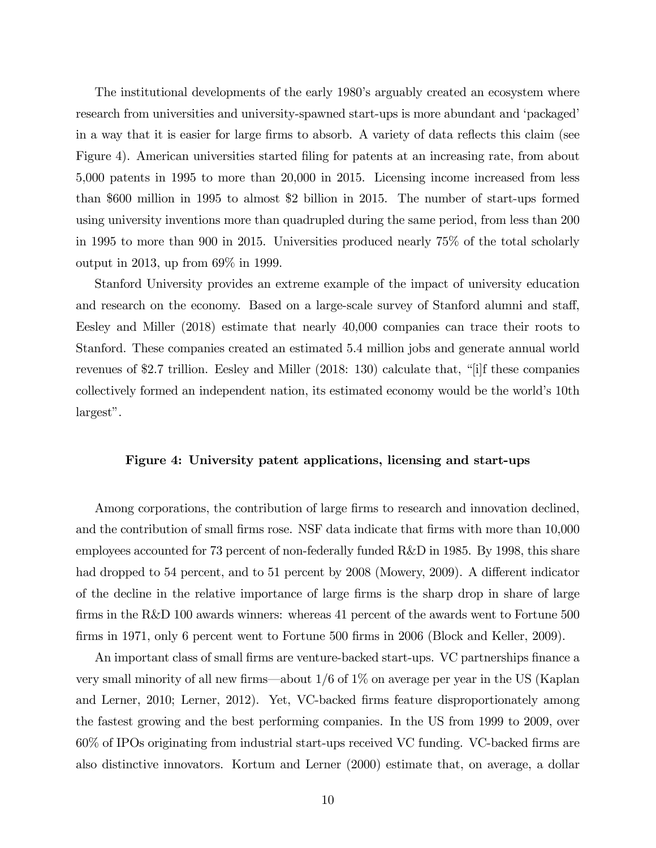The institutional developments of the early 1980's arguably created an ecosystem where research from universities and university-spawned start-ups is more abundant and 'packaged' in a way that it is easier for large firms to absorb. A variety of data reflects this claim (see Figure 4). American universities started filing for patents at an increasing rate, from about 5,000 patents in 1995 to more than 20,000 in 2015. Licensing income increased from less than \$600 million in 1995 to almost \$2 billion in 2015. The number of start-ups formed using university inventions more than quadrupled during the same period, from less than 200 in 1995 to more than 900 in 2015. Universities produced nearly 75% of the total scholarly output in 2013, up from 69% in 1999.

Stanford University provides an extreme example of the impact of university education and research on the economy. Based on a large-scale survey of Stanford alumni and staff, Eesley and Miller (2018) estimate that nearly 40,000 companies can trace their roots to Stanford. These companies created an estimated 5.4 million jobs and generate annual world revenues of \$2.7 trillion. Eesley and Miller  $(2018: 130)$  calculate that, "[i]f these companies collectively formed an independent nation, its estimated economy would be the world's 10th  $largest$ ".

#### Figure 4: University patent applications, licensing and start-ups

Among corporations, the contribution of large firms to research and innovation declined, and the contribution of small firms rose. NSF data indicate that firms with more than 10,000 employees accounted for 73 percent of non-federally funded R&D in 1985. By 1998, this share had dropped to 54 percent, and to 51 percent by 2008 (Mowery, 2009). A different indicator of the decline in the relative importance of large firms is the sharp drop in share of large firms in the R&D 100 awards winners: whereas 41 percent of the awards went to Fortune  $500$ firms in 1971, only 6 percent went to Fortune 500 firms in 2006 (Block and Keller, 2009).

An important class of small firms are venture-backed start-ups. VC partnerships finance a very small minority of all new firms—about  $1/6$  of  $1\%$  on average per year in the US (Kaplan and Lerner, 2010; Lerner, 2012). Yet, VC-backed firms feature disproportionately among the fastest growing and the best performing companies. In the US from 1999 to 2009, over  $60\%$  of IPOs originating from industrial start-ups received VC funding. VC-backed firms are also distinctive innovators. Kortum and Lerner (2000) estimate that, on average, a dollar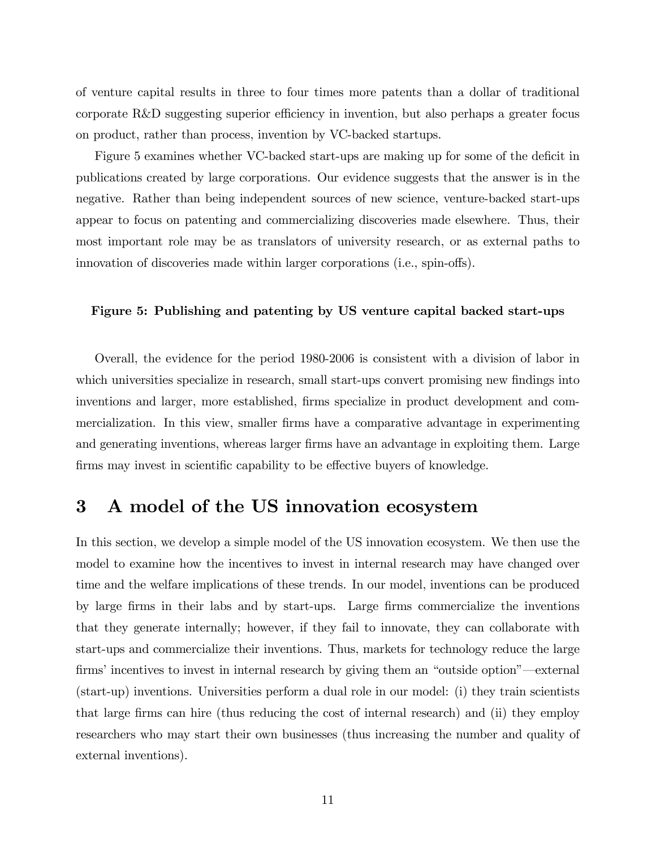of venture capital results in three to four times more patents than a dollar of traditional corporate R&D suggesting superior efficiency in invention, but also perhaps a greater focus on product, rather than process, invention by VC-backed startups.

Figure 5 examines whether VC-backed start-ups are making up for some of the deficit in publications created by large corporations. Our evidence suggests that the answer is in the negative. Rather than being independent sources of new science, venture-backed start-ups appear to focus on patenting and commercializing discoveries made elsewhere. Thus, their most important role may be as translators of university research, or as external paths to innovation of discoveries made within larger corporations (i.e., spin-offs).

#### Figure 5: Publishing and patenting by US venture capital backed start-ups

Overall, the evidence for the period 1980-2006 is consistent with a division of labor in which universities specialize in research, small start-ups convert promising new findings into inventions and larger, more established, firms specialize in product development and commercialization. In this view, smaller firms have a comparative advantage in experimenting and generating inventions, whereas larger firms have an advantage in exploiting them. Large firms may invest in scientific capability to be effective buyers of knowledge.

### 3 A model of the US innovation ecosystem

In this section, we develop a simple model of the US innovation ecosystem. We then use the model to examine how the incentives to invest in internal research may have changed over time and the welfare implications of these trends. In our model, inventions can be produced by large Örms in their labs and by start-ups. Large Örms commercialize the inventions that they generate internally; however, if they fail to innovate, they can collaborate with start-ups and commercialize their inventions. Thus, markets for technology reduce the large firms' incentives to invest in internal research by giving them an "outside option"—external (start-up) inventions. Universities perform a dual role in our model: (i) they train scientists that large Örms can hire (thus reducing the cost of internal research) and (ii) they employ researchers who may start their own businesses (thus increasing the number and quality of external inventions).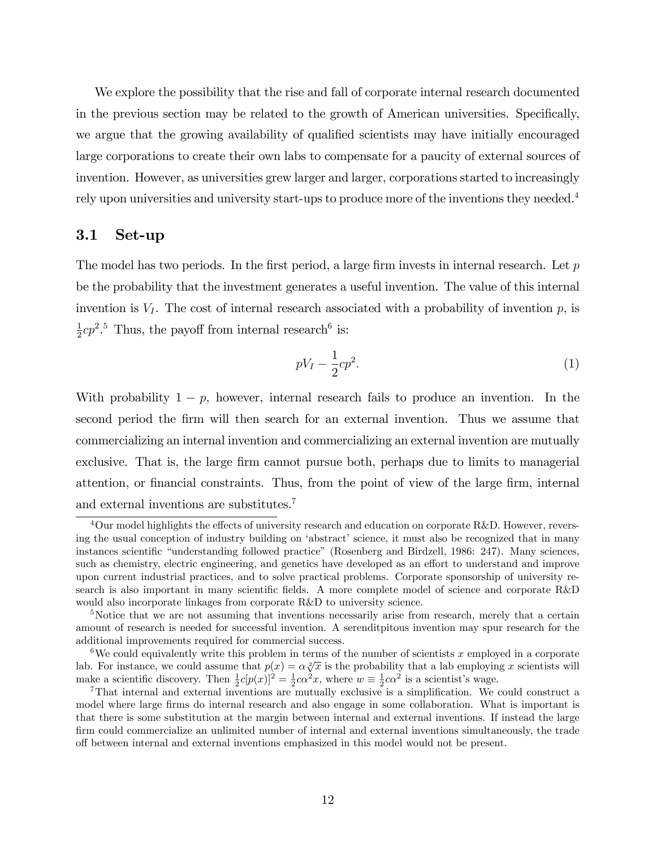We explore the possibility that the rise and fall of corporate internal research documented in the previous section may be related to the growth of American universities. Specifically, we argue that the growing availability of qualified scientists may have initially encouraged large corporations to create their own labs to compensate for a paucity of external sources of invention. However, as universities grew larger and larger, corporations started to increasingly rely upon universities and university start-ups to produce more of the inventions they needed.<sup>4</sup>

### 3.1 Set-up

The model has two periods. In the first period, a large firm invests in internal research. Let  $p$ be the probability that the investment generates a useful invention. The value of this internal invention is  $V_I$ . The cost of internal research associated with a probability of invention p, is 1  $\frac{1}{2}cp^2$ .<sup>5</sup> Thus, the payoff from internal research<sup>6</sup> is:

$$
pV_I - \frac{1}{2}cp^2.\tag{1}
$$

With probability  $1 - p$ , however, internal research fails to produce an invention. In the second period the Örm will then search for an external invention. Thus we assume that commercializing an internal invention and commercializing an external invention are mutually exclusive. That is, the large firm cannot pursue both, perhaps due to limits to managerial attention, or financial constraints. Thus, from the point of view of the large firm, internal and external inventions are substitutes.<sup>7</sup>

 $4$ Our model highlights the effects of university research and education on corporate R&D. However, reversing the usual conception of industry building on 'abstract' science, it must also be recognized that in many instances scientific "understanding followed practice" (Rosenberg and Birdzell, 1986: 247). Many sciences, such as chemistry, electric engineering, and genetics have developed as an effort to understand and improve upon current industrial practices, and to solve practical problems. Corporate sponsorship of university research is also important in many scientific fields. A more complete model of science and corporate  $R\&D$ would also incorporate linkages from corporate R&D to university science.

<sup>&</sup>lt;sup>5</sup>Notice that we are not assuming that inventions necessarily arise from research, merely that a certain amount of research is needed for successful invention. A serenditpitous invention may spur research for the additional improvements required for commercial success.

<sup>&</sup>lt;sup>6</sup>We could equivalently write this problem in terms of the number of scientists x employed in a corporate lab. For instance, we could assume that  $p(x) = \alpha \sqrt[2]{x}$  is the probability that a lab employing x scientists will make a scientific discovery. Then  $\frac{1}{2}c[p(x)]^2 = \frac{1}{2}c\alpha^2 x$ , where  $w \equiv \frac{1}{2}c\alpha^2$  is a scientist's wage.

<sup>&</sup>lt;sup>7</sup>That internal and external inventions are mutually exclusive is a simplification. We could construct a model where large firms do internal research and also engage in some collaboration. What is important is that there is some substitution at the margin between internal and external inventions. If instead the large firm could commercialize an unlimited number of internal and external inventions simultaneously, the trade o§ between internal and external inventions emphasized in this model would not be present.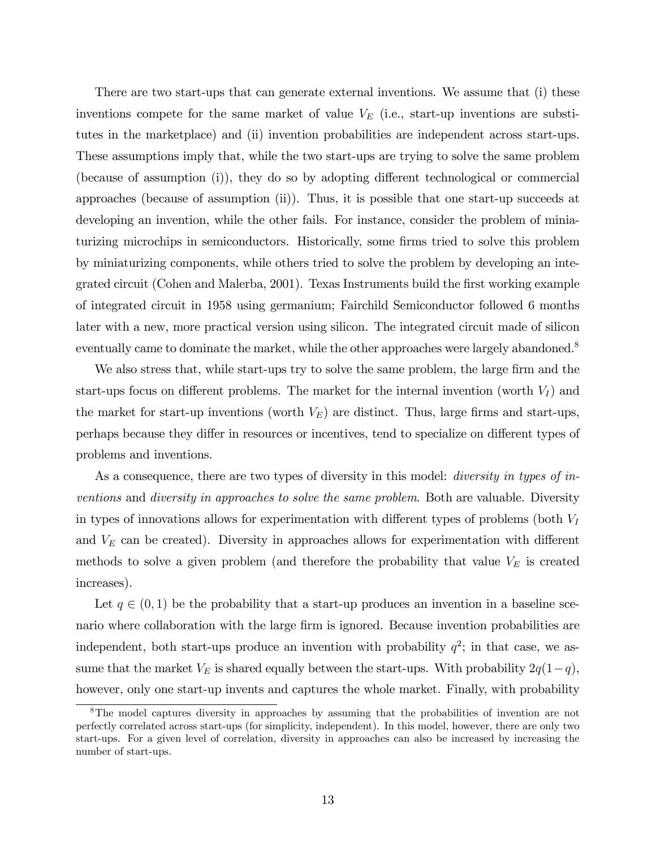There are two start-ups that can generate external inventions. We assume that (i) these inventions compete for the same market of value  $V_E$  (i.e., start-up inventions are substitutes in the marketplace) and (ii) invention probabilities are independent across start-ups. These assumptions imply that, while the two start-ups are trying to solve the same problem (because of assumption (i)), they do so by adopting different technological or commercial approaches (because of assumption (ii)). Thus, it is possible that one start-up succeeds at developing an invention, while the other fails. For instance, consider the problem of miniaturizing microchips in semiconductors. Historically, some firms tried to solve this problem by miniaturizing components, while others tried to solve the problem by developing an integrated circuit (Cohen and Malerba, 2001). Texas Instruments build the Örst working example of integrated circuit in 1958 using germanium; Fairchild Semiconductor followed 6 months later with a new, more practical version using silicon. The integrated circuit made of silicon eventually came to dominate the market, while the other approaches were largely abandoned.<sup>8</sup>

We also stress that, while start-ups try to solve the same problem, the large firm and the start-ups focus on different problems. The market for the internal invention (worth  $V_I$ ) and the market for start-up inventions (worth  $V_E$ ) are distinct. Thus, large firms and start-ups, perhaps because they differ in resources or incentives, tend to specialize on different types of problems and inventions.

As a consequence, there are two types of diversity in this model: *diversity in types of in*ventions and diversity in approaches to solve the same problem. Both are valuable. Diversity in types of innovations allows for experimentation with different types of problems (both  $V_I$ and  $V_E$  can be created). Diversity in approaches allows for experimentation with different methods to solve a given problem (and therefore the probability that value  $V_E$  is created increases).

Let  $q \in (0, 1)$  be the probability that a start-up produces an invention in a baseline scenario where collaboration with the large firm is ignored. Because invention probabilities are independent, both start-ups produce an invention with probability  $q^2$ ; in that case, we assume that the market  $V_E$  is shared equally between the start-ups. With probability  $2q(1-q)$ , however, only one start-up invents and captures the whole market. Finally, with probability

<sup>&</sup>lt;sup>8</sup>The model captures diversity in approaches by assuming that the probabilities of invention are not perfectly correlated across start-ups (for simplicity, independent). In this model, however, there are only two start-ups. For a given level of correlation, diversity in approaches can also be increased by increasing the number of start-ups.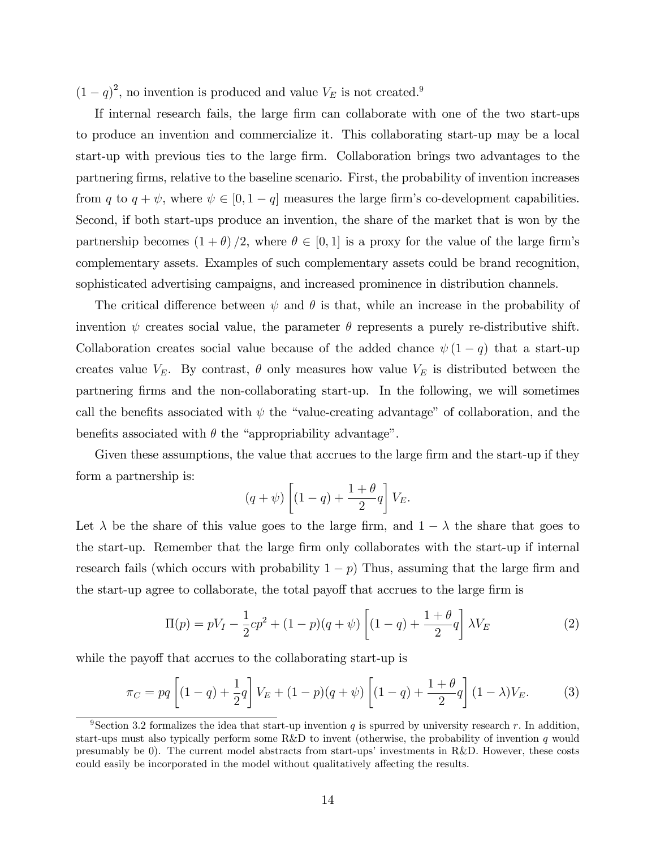$(1 - q)^2$ , no invention is produced and value  $V_E$  is not created.<sup>9</sup>

If internal research fails, the large firm can collaborate with one of the two start-ups to produce an invention and commercialize it. This collaborating start-up may be a local start-up with previous ties to the large firm. Collaboration brings two advantages to the partnering firms, relative to the baseline scenario. First, the probability of invention increases from q to  $q + \psi$ , where  $\psi \in [0, 1 - q]$  measures the large firm's co-development capabilities. Second, if both start-ups produce an invention, the share of the market that is won by the partnership becomes  $(1 + \theta)/2$ , where  $\theta \in [0, 1]$  is a proxy for the value of the large firm's complementary assets. Examples of such complementary assets could be brand recognition, sophisticated advertising campaigns, and increased prominence in distribution channels.

The critical difference between  $\psi$  and  $\theta$  is that, while an increase in the probability of invention  $\psi$  creates social value, the parameter  $\theta$  represents a purely re-distributive shift. Collaboration creates social value because of the added chance  $\psi(1 - q)$  that a start-up creates value  $V_E$ . By contrast,  $\theta$  only measures how value  $V_E$  is distributed between the partnering Örms and the non-collaborating start-up. In the following, we will sometimes call the benefits associated with  $\psi$  the "value-creating advantage" of collaboration, and the benefits associated with  $\theta$  the "appropriability advantage".

Given these assumptions, the value that accrues to the large firm and the start-up if they form a partnership is:

$$
(q+\psi)\left[(1-q)+\frac{1+\theta}{2}q\right]V_E.
$$

Let  $\lambda$  be the share of this value goes to the large firm, and  $1 - \lambda$  the share that goes to the start-up. Remember that the large firm only collaborates with the start-up if internal research fails (which occurs with probability  $1 - p$ ) Thus, assuming that the large firm and the start-up agree to collaborate, the total payoff that accrues to the large firm is

$$
\Pi(p) = pV_I - \frac{1}{2}cp^2 + (1-p)(q+\psi) \left[ (1-q) + \frac{1+\theta}{2}q \right] \lambda V_E
$$
 (2)

while the payoff that accrues to the collaborating start-up is

$$
\pi_C = pq \left[ (1-q) + \frac{1}{2}q \right] V_E + (1-p)(q+\psi) \left[ (1-q) + \frac{1+\theta}{2}q \right] (1-\lambda)V_E.
$$
 (3)

<sup>&</sup>lt;sup>9</sup>Section 3.2 formalizes the idea that start-up invention q is spurred by university research r. In addition, start-ups must also typically perform some R&D to invent (otherwise, the probability of invention q would presumably be 0). The current model abstracts from start-ups' investments in R&D. However, these costs could easily be incorporated in the model without qualitatively affecting the results.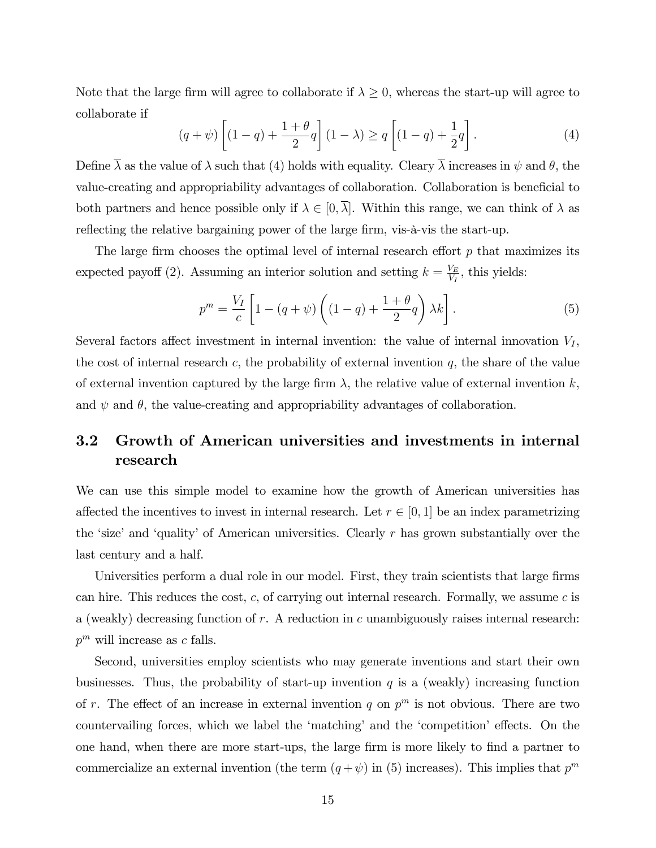Note that the large firm will agree to collaborate if  $\lambda \geq 0$ , whereas the start-up will agree to collaborate if

$$
(q+\psi)\left[ (1-q) + \frac{1+\theta}{2}q \right](1-\lambda) \ge q\left[ (1-q) + \frac{1}{2}q \right].
$$
 (4)

Define  $\overline{\lambda}$  as the value of  $\lambda$  such that (4) holds with equality. Cleary  $\overline{\lambda}$  increases in  $\psi$  and  $\theta$ , the value-creating and appropriability advantages of collaboration. Collaboration is beneficial to both partners and hence possible only if  $\lambda \in [0, \overline{\lambda}]$ . Within this range, we can think of  $\lambda$  as reflecting the relative bargaining power of the large firm, vis-à-vis the start-up.

The large firm chooses the optimal level of internal research effort  $p$  that maximizes its expected payoff (2). Assuming an interior solution and setting  $k = \frac{V_E}{V_E}$  $\frac{V_E}{V_I}$ , this yields:

$$
p^{m} = \frac{V_{I}}{c} \left[ 1 - (q + \psi) \left( (1 - q) + \frac{1 + \theta}{2} q \right) \lambda k \right]. \tag{5}
$$

Several factors affect investment in internal invention: the value of internal innovation  $V_I$ , the cost of internal research c, the probability of external invention  $q$ , the share of the value of external invention captured by the large firm  $\lambda$ , the relative value of external invention k, and  $\psi$  and  $\theta$ , the value-creating and appropriability advantages of collaboration.

### 3.2 Growth of American universities and investments in internal research

We can use this simple model to examine how the growth of American universities has affected the incentives to invest in internal research. Let  $r \in [0, 1]$  be an index parametrizing the 'size' and 'quality' of American universities. Clearly  $r$  has grown substantially over the last century and a half.

Universities perform a dual role in our model. First, they train scientists that large firms can hire. This reduces the cost,  $c$ , of carrying out internal research. Formally, we assume  $c$  is a (weakly) decreasing function of  $r$ . A reduction in  $c$  unambiguously raises internal research:  $p^m$  will increase as c falls.

Second, universities employ scientists who may generate inventions and start their own businesses. Thus, the probability of start-up invention  $q$  is a (weakly) increasing function of r. The effect of an increase in external invention q on  $p^m$  is not obvious. There are two countervailing forces, which we label the 'matching' and the 'competition' effects. On the one hand, when there are more start-ups, the large firm is more likely to find a partner to commercialize an external invention (the term  $(q + \psi)$  in (5) increases). This implies that  $p^m$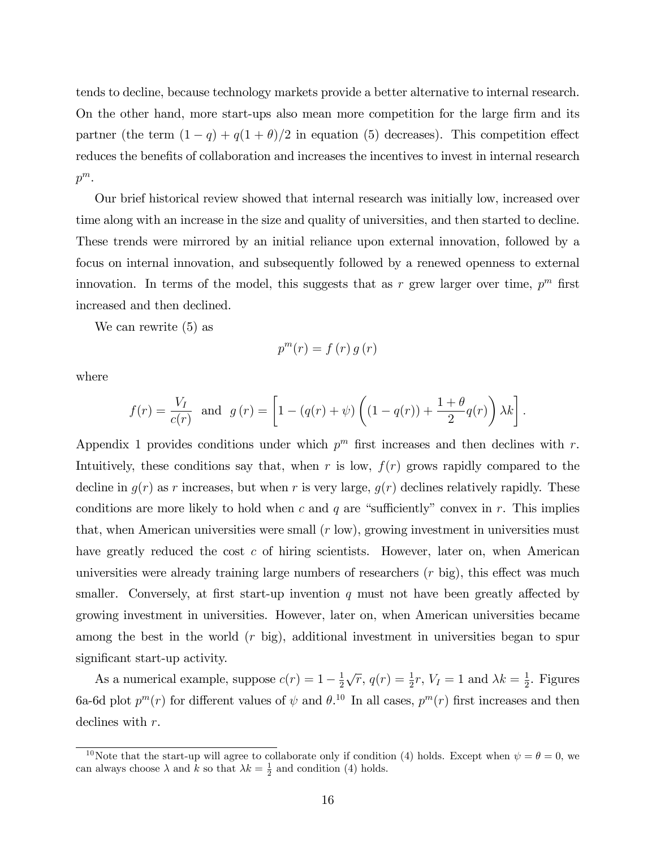tends to decline, because technology markets provide a better alternative to internal research. On the other hand, more start-ups also mean more competition for the large firm and its partner (the term  $(1 - q) + q(1 + \theta)/2$  in equation (5) decreases). This competition effect reduces the benefits of collaboration and increases the incentives to invest in internal research  $p^m$ .

Our brief historical review showed that internal research was initially low, increased over time along with an increase in the size and quality of universities, and then started to decline. These trends were mirrored by an initial reliance upon external innovation, followed by a focus on internal innovation, and subsequently followed by a renewed openness to external innovation. In terms of the model, this suggests that as r grew larger over time,  $p^m$  first increased and then declined.

We can rewrite (5) as

$$
p^{m}(r) = f(r) g(r)
$$

where

$$
f(r) = \frac{V_I}{c(r)} \text{ and } g(r) = \left[1 - (q(r) + \psi)\left((1 - q(r)) + \frac{1 + \theta}{2}q(r)\right)\lambda k\right].
$$

Appendix 1 provides conditions under which  $p^m$  first increases and then declines with r. Intuitively, these conditions say that, when r is low,  $f(r)$  grows rapidly compared to the decline in  $g(r)$  as r increases, but when r is very large,  $g(r)$  declines relatively rapidly. These conditions are more likely to hold when c and q are "sufficiently" convex in r. This implies that, when American universities were small  $(r \text{ low})$ , growing investment in universities must have greatly reduced the cost  $c$  of hiring scientists. However, later on, when American universities were already training large numbers of researchers  $(r \text{ big})$ , this effect was much smaller. Conversely, at first start-up invention  $q$  must not have been greatly affected by growing investment in universities. However, later on, when American universities became among the best in the world  $(r \text{ big})$ , additional investment in universities began to spur significant start-up activity.

As a numerical example, suppose  $c(r) = 1 - \frac{1}{2}$  $\frac{1}{2}\sqrt{r}, q(r) = \frac{1}{2}r, V_I = 1$  and  $\lambda k = \frac{1}{2}$  $\frac{1}{2}$ . Figures 6a-6d plot  $p^{m}(r)$  for different values of  $\psi$  and  $\theta$ .<sup>10</sup> In all cases,  $p^{m}(r)$  first increases and then declines with r.

<sup>&</sup>lt;sup>10</sup>Note that the start-up will agree to collaborate only if condition (4) holds. Except when  $\psi = \theta = 0$ , we can always choose  $\lambda$  and  $k$  so that  $\lambda k = \frac{1}{2}$  and condition (4) holds.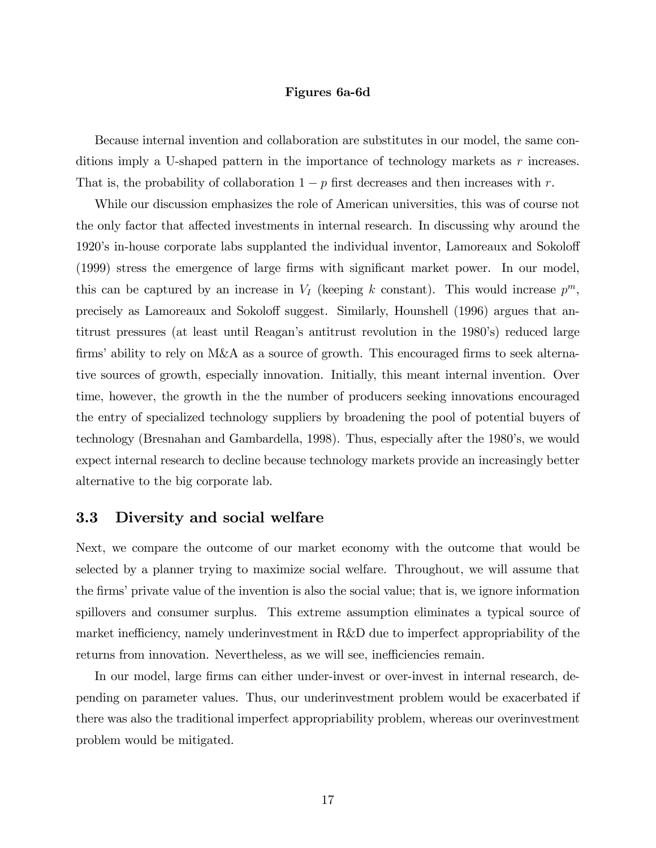#### Figures 6a-6d

Because internal invention and collaboration are substitutes in our model, the same conditions imply a U-shaped pattern in the importance of technology markets as r increases. That is, the probability of collaboration  $1 - p$  first decreases and then increases with r.

While our discussion emphasizes the role of American universities, this was of course not the only factor that affected investments in internal research. In discussing why around the 1920's in-house corporate labs supplanted the individual inventor, Lamoreaux and Sokoloff (1999) stress the emergence of large firms with significant market power. In our model, this can be captured by an increase in  $V_I$  (keeping k constant). This would increase  $p^m$ , precisely as Lamoreaux and Sokoloff suggest. Similarly, Hounshell (1996) argues that antitrust pressures (at least until Reagan's antitrust revolution in the 1980's) reduced large firms' ability to rely on M&A as a source of growth. This encouraged firms to seek alternative sources of growth, especially innovation. Initially, this meant internal invention. Over time, however, the growth in the the number of producers seeking innovations encouraged the entry of specialized technology suppliers by broadening the pool of potential buyers of technology (Bresnahan and Gambardella, 1998). Thus, especially after the 1980ís, we would expect internal research to decline because technology markets provide an increasingly better alternative to the big corporate lab.

### 3.3 Diversity and social welfare

Next, we compare the outcome of our market economy with the outcome that would be selected by a planner trying to maximize social welfare. Throughout, we will assume that the firms' private value of the invention is also the social value; that is, we ignore information spillovers and consumer surplus. This extreme assumption eliminates a typical source of market inefficiency, namely underinvestment in R&D due to imperfect appropriability of the returns from innovation. Nevertheless, as we will see, inefficiencies remain.

In our model, large firms can either under-invest or over-invest in internal research, depending on parameter values. Thus, our underinvestment problem would be exacerbated if there was also the traditional imperfect appropriability problem, whereas our overinvestment problem would be mitigated.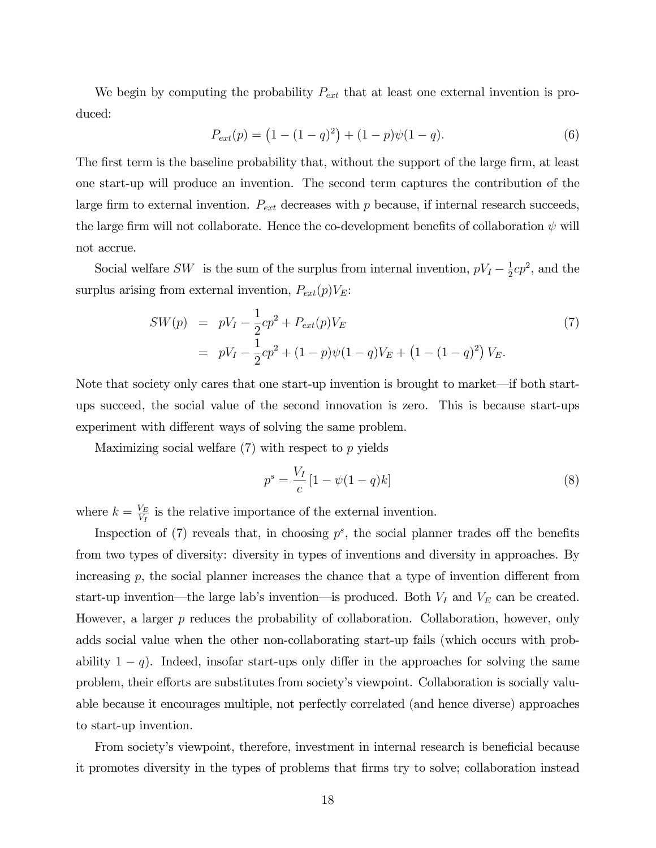We begin by computing the probability  $P_{ext}$  that at least one external invention is produced:

$$
P_{ext}(p) = (1 - (1 - q)^2) + (1 - p)\psi(1 - q).
$$
\n(6)

The first term is the baseline probability that, without the support of the large firm, at least one start-up will produce an invention. The second term captures the contribution of the large firm to external invention.  $P_{ext}$  decreases with p because, if internal research succeeds, the large firm will not collaborate. Hence the co-development benefits of collaboration  $\psi$  will not accrue.

Social welfare SW is the sum of the surplus from internal invention,  $pV_I - \frac{1}{2}$  $\frac{1}{2}cp^2$ , and the surplus arising from external invention,  $P_{ext}(p)V_E$ :

$$
SW(p) = pV_I - \frac{1}{2}cp^2 + P_{ext}(p)V_E
$$
  
=  $pV_I - \frac{1}{2}cp^2 + (1-p)\psi(1-q)V_E + (1-(1-q)^2)V_E.$  (7)

Note that society only cares that one start-up invention is brought to market—if both startups succeed, the social value of the second innovation is zero. This is because start-ups experiment with different ways of solving the same problem.

Maximizing social welfare (7) with respect to p yields

$$
p^{s} = \frac{V_{I}}{c} \left[ 1 - \psi (1 - q)k \right]
$$
 (8)

where  $k = \frac{V_E}{V_E}$  $\frac{V_E}{V_I}$  is the relative importance of the external invention.

Inspection of  $(7)$  reveals that, in choosing  $p^s$ , the social planner trades off the benefits from two types of diversity: diversity in types of inventions and diversity in approaches. By increasing  $p$ , the social planner increases the chance that a type of invention different from start-up invention—the large lab's invention—is produced. Both  $V_I$  and  $V_E$  can be created. However, a larger p reduces the probability of collaboration. Collaboration, however, only adds social value when the other non-collaborating start-up fails (which occurs with probability  $1 - q$ ). Indeed, insofar start-ups only differ in the approaches for solving the same problem, their efforts are substitutes from society's viewpoint. Collaboration is socially valuable because it encourages multiple, not perfectly correlated (and hence diverse) approaches to start-up invention.

From society's viewpoint, therefore, investment in internal research is beneficial because it promotes diversity in the types of problems that Örms try to solve; collaboration instead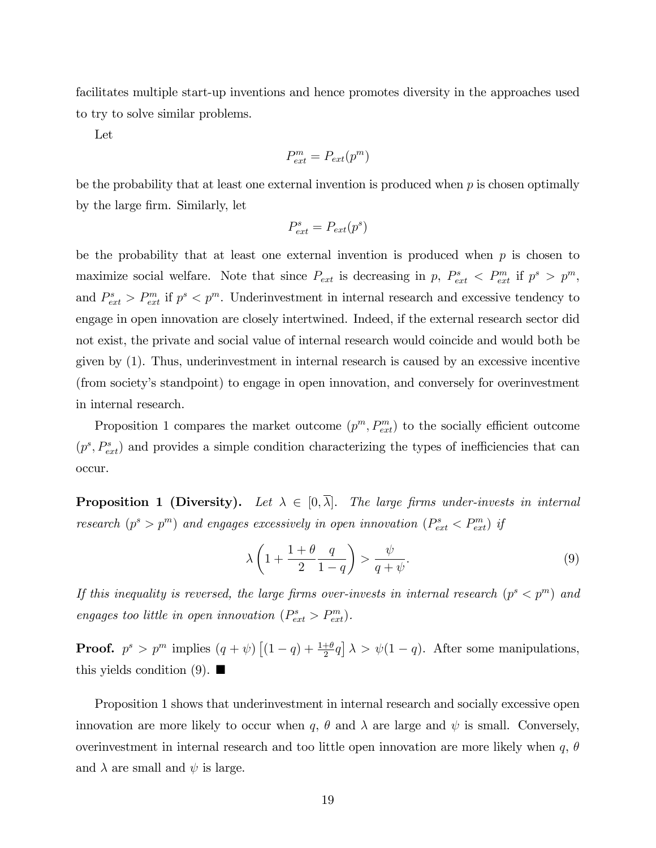facilitates multiple start-up inventions and hence promotes diversity in the approaches used to try to solve similar problems.

Let

$$
P_{ext}^m = P_{ext}(p^m)
$$

be the probability that at least one external invention is produced when  $p$  is chosen optimally by the large firm. Similarly, let

$$
P_{ext}^s = P_{ext}(p^s)
$$

be the probability that at least one external invention is produced when  $p$  is chosen to maximize social welfare. Note that since  $P_{ext}$  is decreasing in p,  $P_{ext}^s < P_{ext}^m$  if  $p^s > p^m$ , and  $P_{ext}^s > P_{ext}^m$  if  $p^s < p^m$ . Underinvestment in internal research and excessive tendency to engage in open innovation are closely intertwined. Indeed, if the external research sector did not exist, the private and social value of internal research would coincide and would both be given by (1). Thus, underinvestment in internal research is caused by an excessive incentive (from societyís standpoint) to engage in open innovation, and conversely for overinvestment in internal research.

Proposition 1 compares the market outcome  $(p^m, P_{ext}^m)$  to the socially efficient outcome  $(p^s, P_{ext}^s)$  and provides a simple condition characterizing the types of inefficiencies that can occur.

**Proposition 1 (Diversity).** Let  $\lambda \in [0, \overline{\lambda}]$ . The large firms under-invests in internal research  $(p^s > p^m)$  and engages excessively in open innovation  $(P_{ext}^s < P_{ext}^m)$  if

$$
\lambda \left( 1 + \frac{1+\theta}{2} \frac{q}{1-q} \right) > \frac{\psi}{q+\psi}.
$$
\n(9)

If this inequality is reversed, the large firms over-invests in internal research  $(p^s < p^m)$  and engages too little in open innovation  $(P_{ext}^s > P_{ext}^m)$ .

**Proof.**  $p^s > p^m$  implies  $(q + \psi)$   $[(1 - q) + \frac{1+\theta}{2}q] \lambda > \psi(1-q)$ . After some manipulations, this yields condition  $(9)$ .

Proposition 1 shows that underinvestment in internal research and socially excessive open innovation are more likely to occur when q,  $\theta$  and  $\lambda$  are large and  $\psi$  is small. Conversely, overinvestment in internal research and too little open innovation are more likely when  $q, \theta$ and  $\lambda$  are small and  $\psi$  is large.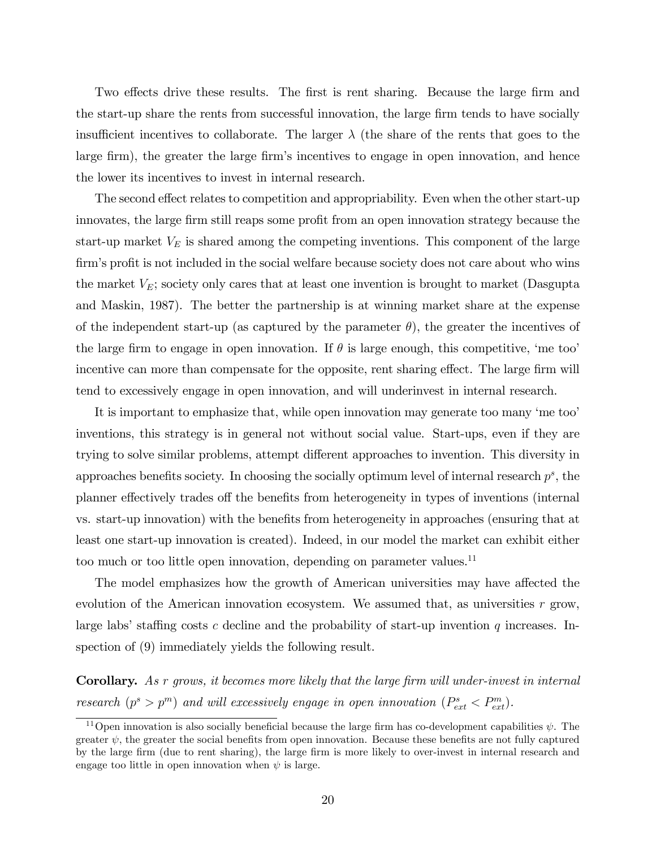Two effects drive these results. The first is rent sharing. Because the large firm and the start-up share the rents from successful innovation, the large firm tends to have socially insufficient incentives to collaborate. The larger  $\lambda$  (the share of the rents that goes to the large firm), the greater the large firm's incentives to engage in open innovation, and hence the lower its incentives to invest in internal research.

The second effect relates to competition and appropriability. Even when the other start-up innovates, the large firm still reaps some profit from an open innovation strategy because the start-up market  $V_E$  is shared among the competing inventions. This component of the large firm's profit is not included in the social welfare because society does not care about who wins the market  $V_E$ ; society only cares that at least one invention is brought to market (Dasgupta and Maskin, 1987). The better the partnership is at winning market share at the expense of the independent start-up (as captured by the parameter  $\theta$ ), the greater the incentives of the large firm to engage in open innovation. If  $\theta$  is large enough, this competitive, 'me too' incentive can more than compensate for the opposite, rent sharing effect. The large firm will tend to excessively engage in open innovation, and will underinvest in internal research.

It is important to emphasize that, while open innovation may generate too many 'me too' inventions, this strategy is in general not without social value. Start-ups, even if they are trying to solve similar problems, attempt different approaches to invention. This diversity in approaches benefits society. In choosing the socially optimum level of internal research  $p^s$ , the planner effectively trades of the benefits from heterogeneity in types of inventions (internal vs. start-up innovation) with the benefits from heterogeneity in approaches (ensuring that at least one start-up innovation is created). Indeed, in our model the market can exhibit either too much or too little open innovation, depending on parameter values.<sup>11</sup>

The model emphasizes how the growth of American universities may have affected the evolution of the American innovation ecosystem. We assumed that, as universities  $r$  grow, large labs' staffing costs c decline and the probability of start-up invention q increases. Inspection of (9) immediately yields the following result.

**Corollary.** As  $r$  grows, it becomes more likely that the large firm will under-invest in internal research  $(p^s > p^m)$  and will excessively engage in open innovation  $(P_{ext}^s < P_{ext}^m)$ .

<sup>&</sup>lt;sup>11</sup>Open innovation is also socially beneficial because the large firm has co-development capabilities  $\psi$ . The greater  $\psi$ , the greater the social benefits from open innovation. Because these benefits are not fully captured by the large Örm (due to rent sharing), the large Örm is more likely to over-invest in internal research and engage too little in open innovation when  $\psi$  is large.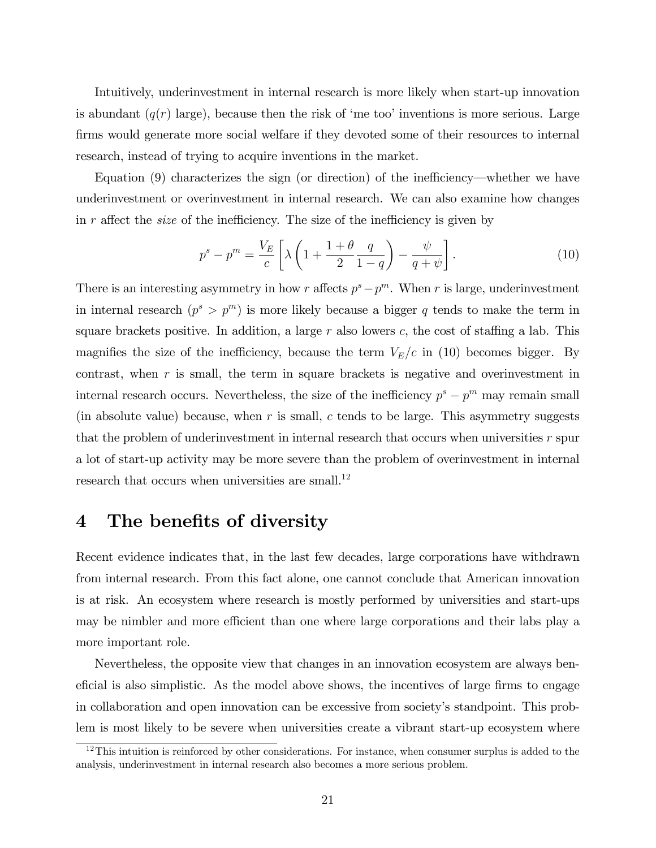Intuitively, underinvestment in internal research is more likely when start-up innovation is abundant  $(q(r))$  large), because then the risk of 'me too' inventions is more serious. Large firms would generate more social welfare if they devoted some of their resources to internal research, instead of trying to acquire inventions in the market.

Equation  $(9)$  characterizes the sign (or direction) of the inefficiency—whether we have underinvestment or overinvestment in internal research. We can also examine how changes in r affect the *size* of the inefficiency. The size of the inefficiency is given by

$$
p^s - p^m = \frac{V_E}{c} \left[ \lambda \left( 1 + \frac{1+\theta}{2} \frac{q}{1-q} \right) - \frac{\psi}{q+\psi} \right]. \tag{10}
$$

There is an interesting asymmetry in how r affects  $p^s - p^m$ . When r is large, underinvestment in internal research  $(p^s > p^m)$  is more likely because a bigger q tends to make the term in square brackets positive. In addition, a large  $r$  also lowers  $c$ , the cost of staffing a lab. This magnifies the size of the inefficiency, because the term  $V_E/c$  in (10) becomes bigger. By contrast, when  $r$  is small, the term in square brackets is negative and overinvestment in internal research occurs. Nevertheless, the size of the inefficiency  $p^s - p^m$  may remain small (in absolute value) because, when  $r$  is small,  $c$  tends to be large. This asymmetry suggests that the problem of underinvestment in internal research that occurs when universities  $r$  spur a lot of start-up activity may be more severe than the problem of overinvestment in internal research that occurs when universities are small.<sup>12</sup>

### 4 The benefits of diversity

Recent evidence indicates that, in the last few decades, large corporations have withdrawn from internal research. From this fact alone, one cannot conclude that American innovation is at risk. An ecosystem where research is mostly performed by universities and start-ups may be nimbler and more efficient than one where large corporations and their labs play a more important role.

Nevertheless, the opposite view that changes in an innovation ecosystem are always beneficial is also simplistic. As the model above shows, the incentives of large firms to engage in collaboration and open innovation can be excessive from societyís standpoint. This problem is most likely to be severe when universities create a vibrant start-up ecosystem where

 $12$ This intuition is reinforced by other considerations. For instance, when consumer surplus is added to the analysis, underinvestment in internal research also becomes a more serious problem.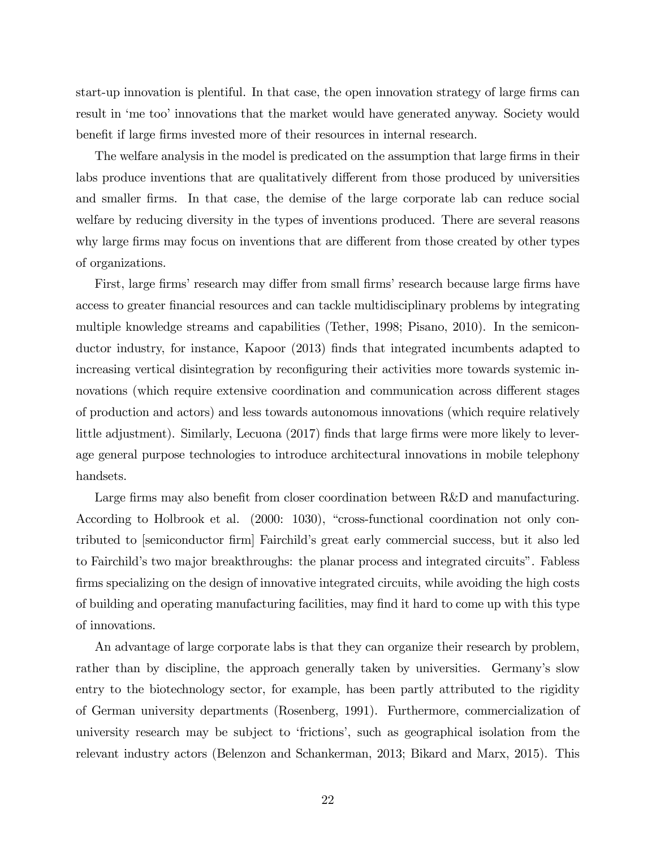start-up innovation is plentiful. In that case, the open innovation strategy of large firms can result in 'me too' innovations that the market would have generated anyway. Society would benefit if large firms invested more of their resources in internal research.

The welfare analysis in the model is predicated on the assumption that large firms in their labs produce inventions that are qualitatively different from those produced by universities and smaller firms. In that case, the demise of the large corporate lab can reduce social welfare by reducing diversity in the types of inventions produced. There are several reasons why large firms may focus on inventions that are different from those created by other types of organizations.

First, large firms' research may differ from small firms' research because large firms have access to greater financial resources and can tackle multidisciplinary problems by integrating multiple knowledge streams and capabilities (Tether, 1998; Pisano, 2010). In the semiconductor industry, for instance, Kapoor (2013) finds that integrated incumbents adapted to increasing vertical disintegration by reconfiguring their activities more towards systemic innovations (which require extensive coordination and communication across different stages of production and actors) and less towards autonomous innovations (which require relatively little adjustment). Similarly, Lecuona (2017) finds that large firms were more likely to leverage general purpose technologies to introduce architectural innovations in mobile telephony handsets.

Large firms may also benefit from closer coordination between R&D and manufacturing. According to Holbrook et al. (2000: 1030), "cross-functional coordination not only contributed to [semiconductor Örm] Fairchildís great early commercial success, but it also led to Fairchild's two major breakthroughs: the planar process and integrated circuits". Fabless firms specializing on the design of innovative integrated circuits, while avoiding the high costs of building and operating manufacturing facilities, may find it hard to come up with this type of innovations.

An advantage of large corporate labs is that they can organize their research by problem, rather than by discipline, the approach generally taken by universities. Germany's slow entry to the biotechnology sector, for example, has been partly attributed to the rigidity of German university departments (Rosenberg, 1991). Furthermore, commercialization of university research may be subject to 'frictions', such as geographical isolation from the relevant industry actors (Belenzon and Schankerman, 2013; Bikard and Marx, 2015). This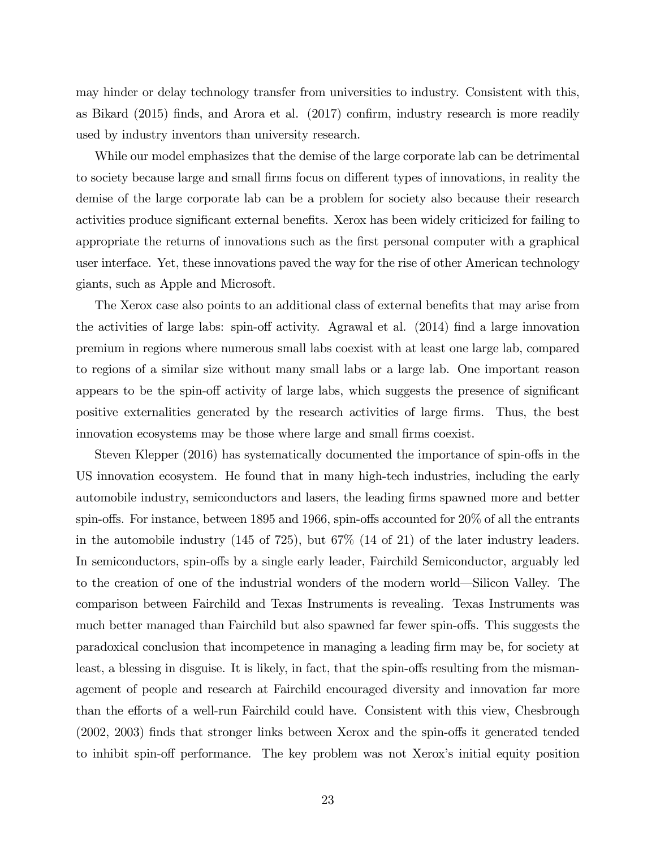may hinder or delay technology transfer from universities to industry. Consistent with this, as Bikard  $(2015)$  finds, and Arora et al.  $(2017)$  confirm, industry research is more readily used by industry inventors than university research.

While our model emphasizes that the demise of the large corporate lab can be detrimental to society because large and small firms focus on different types of innovations, in reality the demise of the large corporate lab can be a problem for society also because their research activities produce significant external benefits. Xerox has been widely criticized for failing to appropriate the returns of innovations such as the Örst personal computer with a graphical user interface. Yet, these innovations paved the way for the rise of other American technology giants, such as Apple and Microsoft.

The Xerox case also points to an additional class of external benefits that may arise from the activities of large labs: spin-off activity. Agrawal et al.  $(2014)$  find a large innovation premium in regions where numerous small labs coexist with at least one large lab, compared to regions of a similar size without many small labs or a large lab. One important reason appears to be the spin-off activity of large labs, which suggests the presence of significant positive externalities generated by the research activities of large Örms. Thus, the best innovation ecosystems may be those where large and small firms coexist.

Steven Klepper (2016) has systematically documented the importance of spin-offs in the US innovation ecosystem. He found that in many high-tech industries, including the early automobile industry, semiconductors and lasers, the leading Örms spawned more and better spin-offs. For instance, between 1895 and 1966, spin-offs accounted for  $20\%$  of all the entrants in the automobile industry (145 of 725), but 67% (14 of 21) of the later industry leaders. In semiconductors, spin-offs by a single early leader, Fairchild Semiconductor, arguably led to the creation of one of the industrial wonders of the modern world—Silicon Valley. The comparison between Fairchild and Texas Instruments is revealing. Texas Instruments was much better managed than Fairchild but also spawned far fewer spin-offs. This suggests the paradoxical conclusion that incompetence in managing a leading Örm may be, for society at least, a blessing in disguise. It is likely, in fact, that the spin-offs resulting from the mismanagement of people and research at Fairchild encouraged diversity and innovation far more than the efforts of a well-run Fairchild could have. Consistent with this view, Chesbrough  $(2002, 2003)$  finds that stronger links between Xerox and the spin-offs it generated tended to inhibit spin-off performance. The key problem was not Xerox's initial equity position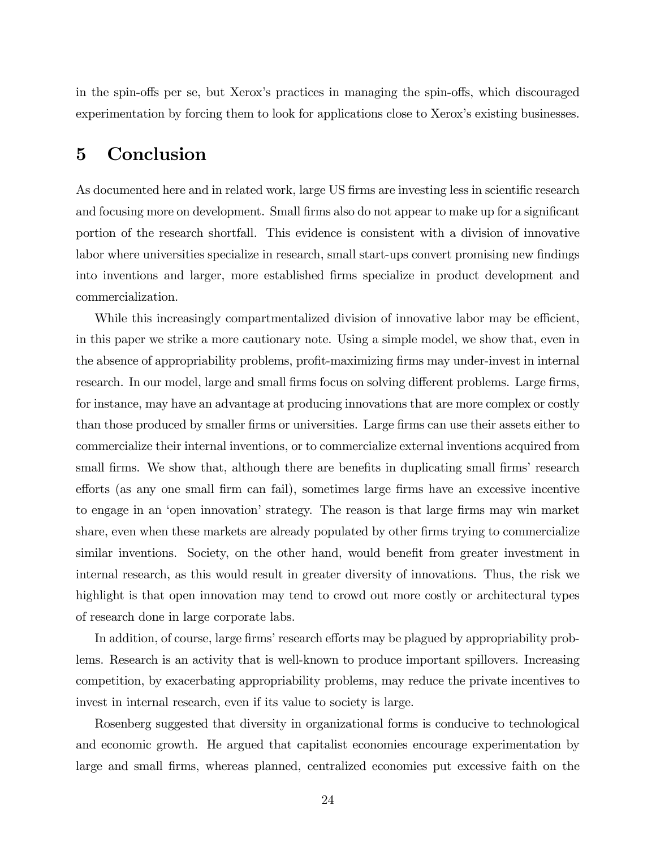in the spin-offs per se, but Xerox's practices in managing the spin-offs, which discouraged experimentation by forcing them to look for applications close to Xerox's existing businesses.

## 5 Conclusion

As documented here and in related work, large US firms are investing less in scientific research and focusing more on development. Small firms also do not appear to make up for a significant portion of the research shortfall. This evidence is consistent with a division of innovative labor where universities specialize in research, small start-ups convert promising new findings into inventions and larger, more established Örms specialize in product development and commercialization.

While this increasingly compartmentalized division of innovative labor may be efficient, in this paper we strike a more cautionary note. Using a simple model, we show that, even in the absence of appropriability problems, profit-maximizing firms may under-invest in internal research. In our model, large and small firms focus on solving different problems. Large firms, for instance, may have an advantage at producing innovations that are more complex or costly than those produced by smaller firms or universities. Large firms can use their assets either to commercialize their internal inventions, or to commercialize external inventions acquired from small firms. We show that, although there are benefits in duplicating small firms' research efforts (as any one small firm can fail), sometimes large firms have an excessive incentive to engage in an 'open innovation' strategy. The reason is that large firms may win market share, even when these markets are already populated by other firms trying to commercialize similar inventions. Society, on the other hand, would benefit from greater investment in internal research, as this would result in greater diversity of innovations. Thus, the risk we highlight is that open innovation may tend to crowd out more costly or architectural types of research done in large corporate labs.

In addition, of course, large firms' research efforts may be plagued by appropriability problems. Research is an activity that is well-known to produce important spillovers. Increasing competition, by exacerbating appropriability problems, may reduce the private incentives to invest in internal research, even if its value to society is large.

Rosenberg suggested that diversity in organizational forms is conducive to technological and economic growth. He argued that capitalist economies encourage experimentation by large and small Örms, whereas planned, centralized economies put excessive faith on the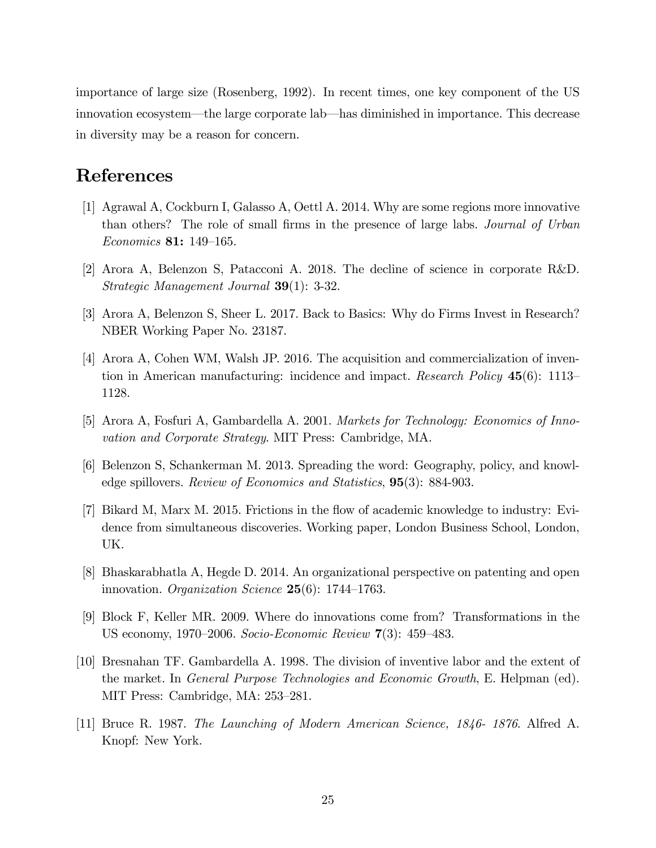importance of large size (Rosenberg, 1992). In recent times, one key component of the US innovation ecosystem—the large corporate lab—has diminished in importance. This decrease in diversity may be a reason for concern.

# References

- [1] Agrawal A, Cockburn I, Galasso A, Oettl A. 2014. Why are some regions more innovative than others? The role of small firms in the presence of large labs. *Journal of Urban*  $Economics$  81: 149–165.
- [2] Arora A, Belenzon S, Patacconi A. 2018. The decline of science in corporate R&D. Strategic Management Journal 39(1): 3-32.
- [3] Arora A, Belenzon S, Sheer L. 2017. Back to Basics: Why do Firms Invest in Research? NBER Working Paper No. 23187.
- [4] Arora A, Cohen WM, Walsh JP. 2016. The acquisition and commercialization of invention in American manufacturing: incidence and impact. Research Policy  $45(6)$ : 1113– 1128.
- [5] Arora A, Fosfuri A, Gambardella A. 2001. Markets for Technology: Economics of Innovation and Corporate Strategy. MIT Press: Cambridge, MA.
- [6] Belenzon S, Schankerman M. 2013. Spreading the word: Geography, policy, and knowledge spillovers. Review of Economics and Statistics, 95(3): 884-903.
- [7] Bikard M, Marx M. 2015. Frictions in the áow of academic knowledge to industry: Evidence from simultaneous discoveries. Working paper, London Business School, London, UK.
- [8] Bhaskarabhatla A, Hegde D. 2014. An organizational perspective on patenting and open innovation. Organization Science  $25(6)$ : 1744–1763.
- [9] Block F, Keller MR. 2009. Where do innovations come from? Transformations in the US economy, 1970–2006. Socio-Economic Review  $7(3)$ : 459–483.
- [10] Bresnahan TF. Gambardella A. 1998. The division of inventive labor and the extent of the market. In General Purpose Technologies and Economic Growth, E. Helpman (ed). MIT Press: Cambridge, MA: 253–281.
- [11] Bruce R. 1987. The Launching of Modern American Science, 1846- 1876. Alfred A. Knopf: New York.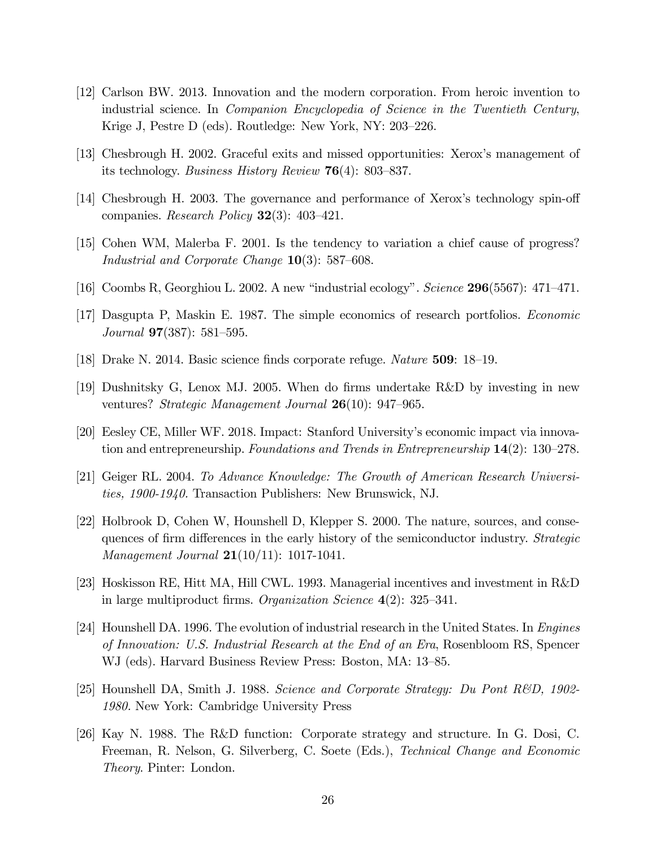- [12] Carlson BW. 2013. Innovation and the modern corporation. From heroic invention to industrial science. In Companion Encyclopedia of Science in the Twentieth Century, Krige J, Pestre D (eds). Routledge: New York, NY:  $203-226$ .
- [13] Chesbrough H. 2002. Graceful exits and missed opportunities: Xeroxís management of its technology. Business History Review  $76(4)$ : 803–837.
- [14] Chesbrough H. 2003. The governance and performance of Xerox's technology spin-off companies. Research Policy  $32(3)$ : 403–421.
- [15] Cohen WM, Malerba F. 2001. Is the tendency to variation a chief cause of progress? Industrial and Corporate Change  $10(3)$ : 587–608.
- [16] Coombs R, Georghiou L. 2002. A new "industrial ecology". Science  $296(5567)$ : 471–471.
- [17] Dasgupta P, Maskin E. 1987. The simple economics of research portfolios. Economic Journal  $97(387)$ : 581–595.
- [18] Drake N. 2014. Basic science finds corporate refuge. Nature  $509: 18–19$ .
- [19] Dushnitsky G, Lenox MJ. 2005. When do Örms undertake R&D by investing in new ventures? Strategic Management Journal  $26(10)$ : 947–965.
- [20] Eesley CE, Miller WF. 2018. Impact: Stanford Universityís economic impact via innovation and entrepreneurship. Foundations and Trends in Entrepreneurship  $14(2)$ : 130–278.
- [21] Geiger RL. 2004. To Advance Knowledge: The Growth of American Research Universities, 1900-1940. Transaction Publishers: New Brunswick, NJ.
- [22] Holbrook D, Cohen W, Hounshell D, Klepper S. 2000. The nature, sources, and consequences of firm differences in the early history of the semiconductor industry. *Strategic Management Journal*  $21(10/11)$ : 1017-1041.
- [23] Hoskisson RE, Hitt MA, Hill CWL. 1993. Managerial incentives and investment in R&D in large multiproduct firms. Organization Science  $4(2)$ : 325–341.
- [24] Hounshell DA. 1996. The evolution of industrial research in the United States. In Engines of Innovation: U.S. Industrial Research at the End of an Era, Rosenbloom RS, Spencer WJ (eds). Harvard Business Review Press: Boston, MA: 13–85.
- [25] Hounshell DA, Smith J. 1988. Science and Corporate Strategy: Du Pont R&D, 1902- 1980. New York: Cambridge University Press
- [26] Kay N. 1988. The R&D function: Corporate strategy and structure. In G. Dosi, C. Freeman, R. Nelson, G. Silverberg, C. Soete (Eds.), Technical Change and Economic Theory. Pinter: London.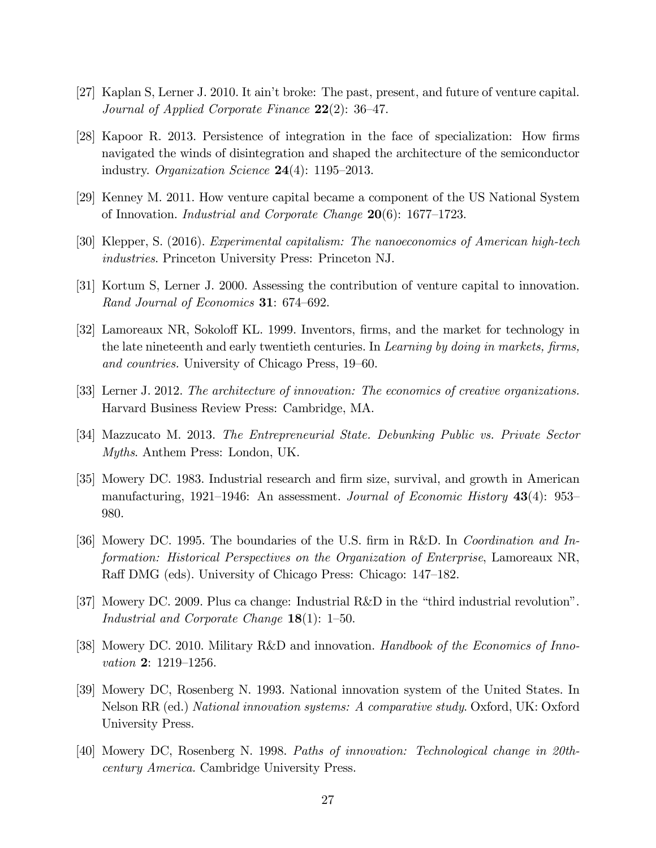- [27] Kaplan S, Lerner J. 2010. It ainít broke: The past, present, and future of venture capital. Journal of Applied Corporate Finance  $22(2)$ : 36–47.
- [28] Kapoor R. 2013. Persistence of integration in the face of specialization: How firms navigated the winds of disintegration and shaped the architecture of the semiconductor industry. Organization Science  $24(4)$ : 1195–2013.
- [29] Kenney M. 2011. How venture capital became a component of the US National System of Innovation. *Industrial and Corporate Change*  $20(6)$ : 1677–1723.
- [30] Klepper, S. (2016). Experimental capitalism: The nanoeconomics of American high-tech industries. Princeton University Press: Princeton NJ.
- [31] Kortum S, Lerner J. 2000. Assessing the contribution of venture capital to innovation. Rand Journal of Economics 31:  $674-692$ .
- [32] Lamoreaux NR, Sokoloff KL. 1999. Inventors, firms, and the market for technology in the late nineteenth and early twentieth centuries. In Learning by doing in markets, firms, and countries. University of Chicago Press, 19–60.
- [33] Lerner J. 2012. The architecture of innovation: The economics of creative organizations. Harvard Business Review Press: Cambridge, MA.
- [34] Mazzucato M. 2013. The Entrepreneurial State. Debunking Public vs. Private Sector Myths. Anthem Press: London, UK.
- [35] Mowery DC. 1983. Industrial research and Örm size, survival, and growth in American manufacturing, 1921–1946: An assessment. Journal of Economic History  $43(4)$ : 953– 980.
- [36] Mowery DC. 1995. The boundaries of the U.S. firm in R&D. In *Coordination and In*formation: Historical Perspectives on the Organization of Enterprise, Lamoreaux NR, Raff DMG (eds). University of Chicago Press: Chicago: 147–182.
- [37] Mowery DC. 2009. Plus ca change: Industrial R&D in the "third industrial revolution". Industrial and Corporate Change  $18(1)$ : 1–50.
- [38] Mowery DC. 2010. Military R&D and innovation. Handbook of the Economics of Innovation  $2: 1219 - 1256$ .
- [39] Mowery DC, Rosenberg N. 1993. National innovation system of the United States. In Nelson RR (ed.) National innovation systems: A comparative study. Oxford, UK: Oxford University Press.
- [40] Mowery DC, Rosenberg N. 1998. Paths of innovation: Technological change in 20thcentury America. Cambridge University Press.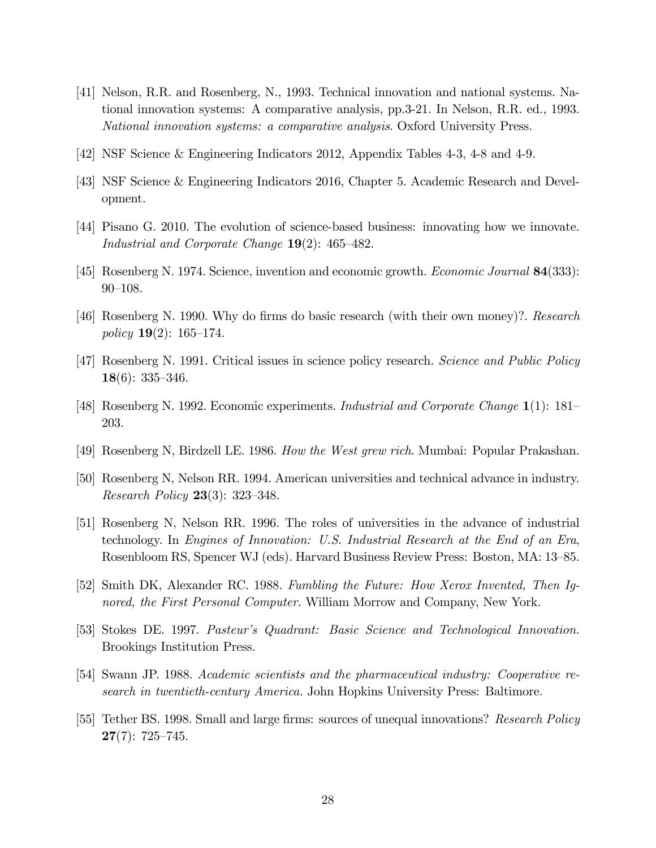- [41] Nelson, R.R. and Rosenberg, N., 1993. Technical innovation and national systems. National innovation systems: A comparative analysis, pp.3-21. In Nelson, R.R. ed., 1993. National innovation systems: a comparative analysis. Oxford University Press.
- [42] NSF Science & Engineering Indicators 2012, Appendix Tables 4-3, 4-8 and 4-9.
- [43] NSF Science & Engineering Indicators 2016, Chapter 5. Academic Research and Development.
- [44] Pisano G. 2010. The evolution of science-based business: innovating how we innovate. Industrial and Corporate Change  $19(2)$ : 465–482.
- [45] Rosenberg N. 1974. Science, invention and economic growth. Economic Journal 84(333):  $90 - 108.$
- [46] Rosenberg N. 1990. Why do Örms do basic research (with their own money)?. Research policy  $19(2)$ : 165–174.
- [47] Rosenberg N. 1991. Critical issues in science policy research. Science and Public Policy 18(6):  $335-346$ .
- [48] Rosenberg N. 1992. Economic experiments. *Industrial and Corporate Change*  $1(1)$ : 181– 203.
- [49] Rosenberg N, Birdzell LE. 1986. How the West grew rich. Mumbai: Popular Prakashan.
- [50] Rosenberg N, Nelson RR. 1994. American universities and technical advance in industry. *Research Policy* **23** $(3)$ : **323**–348.
- [51] Rosenberg N, Nelson RR. 1996. The roles of universities in the advance of industrial technology. In Engines of Innovation: U.S. Industrial Research at the End of an Era, Rosenbloom RS, Spencer WJ (eds). Harvard Business Review Press: Boston, MA: 13–85.
- [52] Smith DK, Alexander RC. 1988. Fumbling the Future: How Xerox Invented, Then Ignored, the First Personal Computer. William Morrow and Company, New York.
- [53] Stokes DE. 1997. Pasteurís Quadrant: Basic Science and Technological Innovation. Brookings Institution Press.
- [54] Swann JP. 1988. Academic scientists and the pharmaceutical industry: Cooperative research in twentieth-century America. John Hopkins University Press: Baltimore.
- [55] Tether BS. 1998. Small and large firms: sources of unequal innovations? Research Policy  $27(7): 725 - 745.$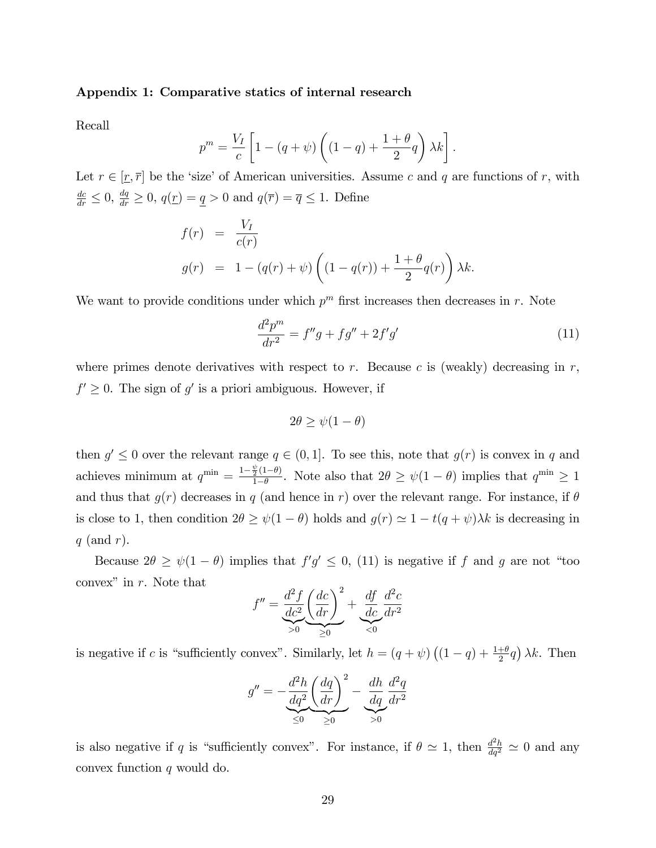#### Appendix 1: Comparative statics of internal research

Recall

$$
p^{m} = \frac{V_I}{c} \left[ 1 - (q + \psi) \left( (1 - q) + \frac{1 + \theta}{2} q \right) \lambda k \right].
$$

Let  $r \in [\underline{r}, \overline{r}]$  be the 'size' of American universities. Assume c and q are functions of r, with  $\frac{dc}{dr} \leq 0$ ,  $\frac{dq}{dr} \geq 0$ ,  $q(\underline{r}) = \underline{q} > 0$  and  $q(\overline{r}) = \overline{q} \leq 1$ . Define

$$
f(r) = \frac{V_I}{c(r)}
$$
  

$$
g(r) = 1 - (q(r) + \psi) \left( (1 - q(r)) + \frac{1 + \theta}{2} q(r) \right) \lambda k.
$$

We want to provide conditions under which  $p^m$  first increases then decreases in r. Note

$$
\frac{d^2p^m}{dr^2} = f''g + fg'' + 2f'g'
$$
\n(11)

where primes denote derivatives with respect to  $r$ . Because  $c$  is (weakly) decreasing in  $r$ ,  $f' \geq 0$ . The sign of  $g'$  is a priori ambiguous. However, if

$$
2\theta \ge \psi(1-\theta)
$$

then  $g' \leq 0$  over the relevant range  $q \in (0,1]$ . To see this, note that  $g(r)$  is convex in q and achieves minimum at  $q^{\min} = \frac{1-\frac{\psi}{2}(1-\theta)}{1-\theta}$  $\frac{\frac{1}{2}(1-\theta)}{1-\theta}$ . Note also that  $2\theta \geq \psi(1-\theta)$  implies that  $q^{\min} \geq 1$ and thus that  $q(r)$  decreases in q (and hence in r) over the relevant range. For instance, if  $\theta$ is close to 1, then condition  $2\theta \ge \psi(1 - \theta)$  holds and  $g(r) \simeq 1 - t(q + \psi)\lambda k$  is decreasing in  $q$  (and r).

Because  $2\theta \geq \psi(1-\theta)$  implies that  $f'g' \leq 0$ , (11) is negative if f and g are not "too convex" in  $r$ . Note that

$$
f'' = \underbrace{\frac{d^2 f}{dc^2} \left(\frac{dc}{dr}\right)^2}_{\geq 0} + \underbrace{\frac{df}{dc} \frac{d^2 c}{dr^2}}_{\leq 0}
$$

is negative if c is "sufficiently convex". Similarly, let  $h = (q + \psi) ((1 - q) + \frac{1+\theta}{2}q) \lambda k$ . Then

$$
g'' = -\frac{d^2h}{dq^2} \left(\frac{dq}{dr}\right)^2 - \underbrace{\frac{dh}{dq} \frac{d^2q}{dr^2}}_{>0}
$$

is also negative if q is "sufficiently convex". For instance, if  $\theta \simeq 1$ , then  $\frac{d^2h}{dq^2} \simeq 0$  and any convex function  $q$  would do.